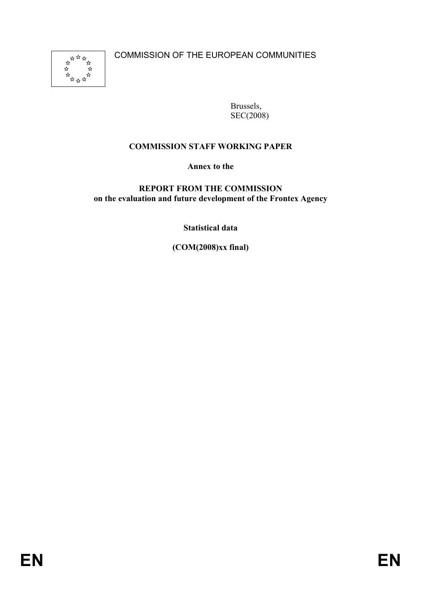COMMISSION OF THE EUROPEAN COMMUNITIES



Brussels, SEC(2008)

## **COMMISSION STAFF WORKING PAPER**

**Annex to the** 

#### **REPORT FROM THE COMMISSION on the evaluation and future development of the Frontex Agency**

**Statistical data** 

**(COM(2008)xx final)**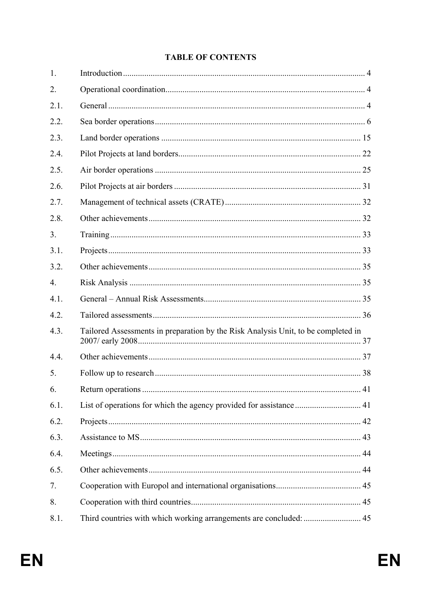#### **TABLE OF CONTENTS**

| 1.   |                                                                                   |  |
|------|-----------------------------------------------------------------------------------|--|
| 2.   |                                                                                   |  |
| 2.1. |                                                                                   |  |
| 2.2. |                                                                                   |  |
| 2.3. |                                                                                   |  |
| 2.4. |                                                                                   |  |
| 2.5. |                                                                                   |  |
| 2.6. |                                                                                   |  |
| 2.7. |                                                                                   |  |
| 2.8. |                                                                                   |  |
| 3.   |                                                                                   |  |
| 3.1. |                                                                                   |  |
| 3.2. |                                                                                   |  |
| 4.   |                                                                                   |  |
| 4.1. |                                                                                   |  |
| 4.2. |                                                                                   |  |
| 4.3. | Tailored Assessments in preparation by the Risk Analysis Unit, to be completed in |  |
| 4.4. |                                                                                   |  |
| 5.   |                                                                                   |  |
| 6.   |                                                                                   |  |
| 6.1. | List of operations for which the agency provided for assistance  41               |  |
| 6.2. |                                                                                   |  |
| 6.3. |                                                                                   |  |
| 6.4. |                                                                                   |  |
| 6.5. |                                                                                   |  |
| 7.   |                                                                                   |  |
| 8.   |                                                                                   |  |
| 8.1. | Third countries with which working arrangements are concluded:  45                |  |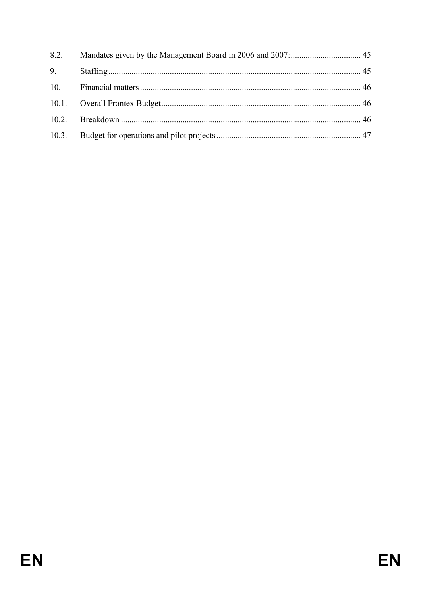| 8.2. |  |
|------|--|
| 9.   |  |
|      |  |
|      |  |
|      |  |
|      |  |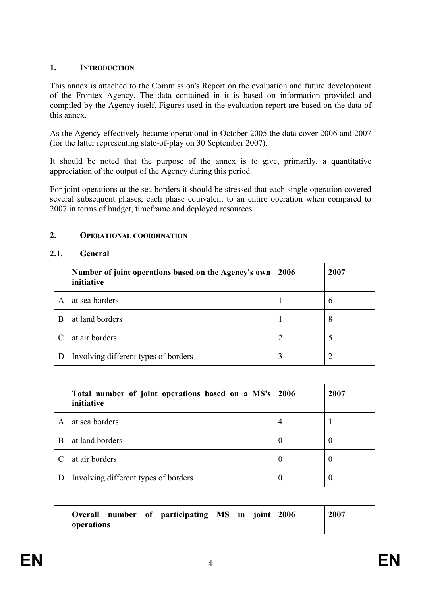#### **1. INTRODUCTION**

This annex is attached to the Commission's Report on the evaluation and future development of the Frontex Agency. The data contained in it is based on information provided and compiled by the Agency itself. Figures used in the evaluation report are based on the data of this annex.

As the Agency effectively became operational in October 2005 the data cover 2006 and 2007 (for the latter representing state-of-play on 30 September 2007).

It should be noted that the purpose of the annex is to give, primarily, a quantitative appreciation of the output of the Agency during this period.

For joint operations at the sea borders it should be stressed that each single operation covered several subsequent phases, each phase equivalent to an entire operation when compared to 2007 in terms of budget, timeframe and deployed resources.

#### **2. OPERATIONAL COORDINATION**

#### **2.1. General**

|   | Number of joint operations based on the Agency's own<br>initiative | 2006 | 2007          |
|---|--------------------------------------------------------------------|------|---------------|
| A | at sea borders                                                     |      | $\mathfrak b$ |
| B | at land borders                                                    |      | 8             |
|   | at air borders                                                     |      |               |
|   | Involving different types of borders                               | 3    |               |

|   | Total number of joint operations based on a MS's<br>initiative | 2006           | 2007 |
|---|----------------------------------------------------------------|----------------|------|
| A | at sea borders                                                 | $\overline{4}$ |      |
| B | at land borders                                                | $\theta$       | U    |
|   | at air borders                                                 | $\bf{0}$       | U    |
|   | Involving different types of borders                           | 0              | O    |

| Overall    |  | number of participating MS in joint 2006 |  |  | 2007 |
|------------|--|------------------------------------------|--|--|------|
| operations |  |                                          |  |  |      |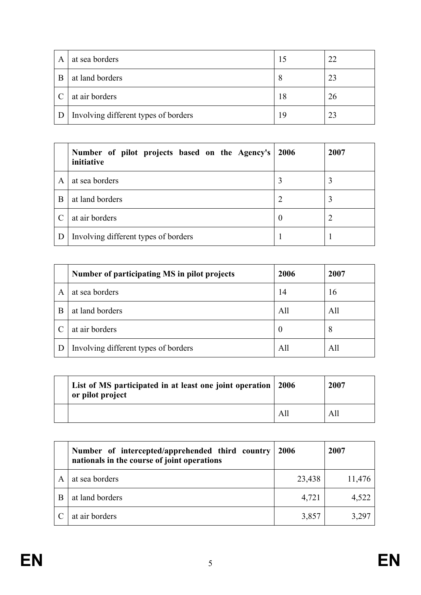| A | at sea borders                       |    | 22 |
|---|--------------------------------------|----|----|
| R | at land borders                      | 8  | 23 |
|   | at air borders                       | 18 | 26 |
|   | Involving different types of borders | 19 | 23 |

|   | Number of pilot projects based on the Agency's<br>initiative | 2006     | 2007 |
|---|--------------------------------------------------------------|----------|------|
| A | at sea borders                                               |          |      |
| B | at land borders                                              |          | 3    |
|   | at air borders                                               | $\theta$ |      |
|   | Involving different types of borders                         |          |      |

|   | Number of participating MS in pilot projects | 2006 | 2007 |
|---|----------------------------------------------|------|------|
| A | at sea borders                               | 14   | 16   |
| B | at land borders                              | All  | All  |
|   | at air borders                               | U    | 8    |
|   | Involving different types of borders         | All  | All  |

| List of MS participated in at least one joint operation   2006<br>or pilot project |     | 2007 |
|------------------------------------------------------------------------------------|-----|------|
|                                                                                    | All | All  |

| Number of intercepted/apprehended third country<br>nationals in the course of joint operations | 2006   | 2007   |
|------------------------------------------------------------------------------------------------|--------|--------|
| at sea borders                                                                                 | 23,438 | 11,476 |
| at land borders                                                                                | 4,721  | 4,522  |
| at air borders                                                                                 | 3,857  | 3,297  |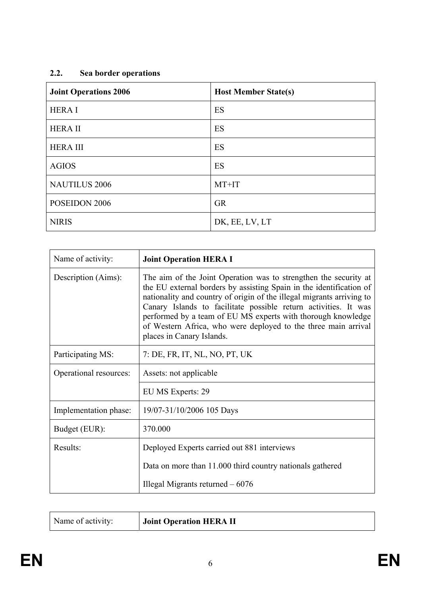# **2.2. Sea border operations**

| <b>Joint Operations 2006</b> | <b>Host Member State(s)</b> |
|------------------------------|-----------------------------|
| <b>HERAI</b>                 | ES                          |
| <b>HERA II</b>               | ES                          |
| <b>HERAIII</b>               | ES                          |
| <b>AGIOS</b>                 | ES                          |
| <b>NAUTILUS 2006</b>         | MT+IT                       |
| POSEIDON 2006                | <b>GR</b>                   |
| <b>NIRIS</b>                 | DK, EE, LV, LT              |

| Name of activity:      | <b>Joint Operation HERA I</b>                                                                                                                                                                                                                                                                                                                                                                                                                      |
|------------------------|----------------------------------------------------------------------------------------------------------------------------------------------------------------------------------------------------------------------------------------------------------------------------------------------------------------------------------------------------------------------------------------------------------------------------------------------------|
| Description (Aims):    | The aim of the Joint Operation was to strengthen the security at<br>the EU external borders by assisting Spain in the identification of<br>nationality and country of origin of the illegal migrants arriving to<br>Canary Islands to facilitate possible return activities. It was<br>performed by a team of EU MS experts with thorough knowledge<br>of Western Africa, who were deployed to the three main arrival<br>places in Canary Islands. |
| Participating MS:      | 7: DE, FR, IT, NL, NO, PT, UK                                                                                                                                                                                                                                                                                                                                                                                                                      |
| Operational resources: | Assets: not applicable                                                                                                                                                                                                                                                                                                                                                                                                                             |
|                        | EU MS Experts: 29                                                                                                                                                                                                                                                                                                                                                                                                                                  |
| Implementation phase:  | 19/07-31/10/2006 105 Days                                                                                                                                                                                                                                                                                                                                                                                                                          |
| Budget (EUR):          | 370.000                                                                                                                                                                                                                                                                                                                                                                                                                                            |
| Results:               | Deployed Experts carried out 881 interviews                                                                                                                                                                                                                                                                                                                                                                                                        |
|                        | Data on more than 11.000 third country nationals gathered                                                                                                                                                                                                                                                                                                                                                                                          |
|                        | Illegal Migrants returned $-6076$                                                                                                                                                                                                                                                                                                                                                                                                                  |

|--|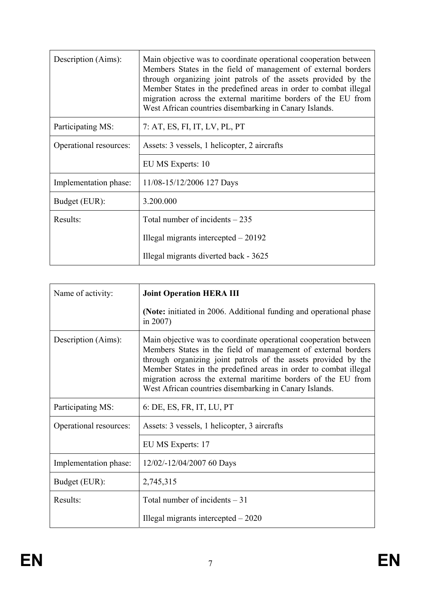| Description (Aims):    | Main objective was to coordinate operational cooperation between<br>Members States in the field of management of external borders<br>through organizing joint patrols of the assets provided by the<br>Member States in the predefined areas in order to combat illegal<br>migration across the external maritime borders of the EU from<br>West African countries disembarking in Canary Islands. |
|------------------------|----------------------------------------------------------------------------------------------------------------------------------------------------------------------------------------------------------------------------------------------------------------------------------------------------------------------------------------------------------------------------------------------------|
| Participating MS:      | 7: AT, ES, FI, IT, LV, PL, PT                                                                                                                                                                                                                                                                                                                                                                      |
| Operational resources: | Assets: 3 vessels, 1 helicopter, 2 aircrafts                                                                                                                                                                                                                                                                                                                                                       |
|                        | EU MS Experts: 10                                                                                                                                                                                                                                                                                                                                                                                  |
| Implementation phase:  | 11/08-15/12/2006 127 Days                                                                                                                                                                                                                                                                                                                                                                          |
| Budget (EUR):          | 3.200.000                                                                                                                                                                                                                                                                                                                                                                                          |
| Results:               | Total number of incidents $-235$                                                                                                                                                                                                                                                                                                                                                                   |
|                        | Illegal migrants intercepted $-20192$                                                                                                                                                                                                                                                                                                                                                              |
|                        | Illegal migrants diverted back - 3625                                                                                                                                                                                                                                                                                                                                                              |

| Name of activity:      | <b>Joint Operation HERA III</b>                                                                                                                                                                                                                                                                                                                                                                    |
|------------------------|----------------------------------------------------------------------------------------------------------------------------------------------------------------------------------------------------------------------------------------------------------------------------------------------------------------------------------------------------------------------------------------------------|
|                        | (Note: initiated in 2006. Additional funding and operational phase<br>in $2007$ )                                                                                                                                                                                                                                                                                                                  |
| Description (Aims):    | Main objective was to coordinate operational cooperation between<br>Members States in the field of management of external borders<br>through organizing joint patrols of the assets provided by the<br>Member States in the predefined areas in order to combat illegal<br>migration across the external maritime borders of the EU from<br>West African countries disembarking in Canary Islands. |
| Participating MS:      | 6: DE, ES, FR, IT, LU, PT                                                                                                                                                                                                                                                                                                                                                                          |
| Operational resources: | Assets: 3 vessels, 1 helicopter, 3 aircrafts                                                                                                                                                                                                                                                                                                                                                       |
|                        | EU MS Experts: 17                                                                                                                                                                                                                                                                                                                                                                                  |
| Implementation phase:  | 12/02/-12/04/2007 60 Days                                                                                                                                                                                                                                                                                                                                                                          |
| Budget (EUR):          | 2,745,315                                                                                                                                                                                                                                                                                                                                                                                          |
| Results:               | Total number of incidents $-31$                                                                                                                                                                                                                                                                                                                                                                    |
|                        | Illegal migrants intercepted $-2020$                                                                                                                                                                                                                                                                                                                                                               |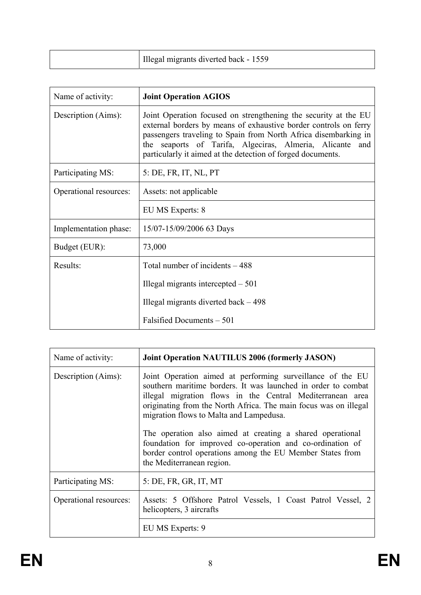| Illegal migrants diverted back - 1559 |  |
|---------------------------------------|--|
|---------------------------------------|--|

| Name of activity:      | <b>Joint Operation AGIOS</b>                                                                                                                                                                                                                                                                                                      |
|------------------------|-----------------------------------------------------------------------------------------------------------------------------------------------------------------------------------------------------------------------------------------------------------------------------------------------------------------------------------|
| Description (Aims):    | Joint Operation focused on strengthening the security at the EU<br>external borders by means of exhaustive border controls on ferry<br>passengers traveling to Spain from North Africa disembarking in<br>the seaports of Tarifa, Algeciras, Almeria, Alicante and<br>particularly it aimed at the detection of forged documents. |
| Participating MS:      | 5: DE, FR, IT, NL, PT                                                                                                                                                                                                                                                                                                             |
| Operational resources: | Assets: not applicable                                                                                                                                                                                                                                                                                                            |
|                        | EU MS Experts: 8                                                                                                                                                                                                                                                                                                                  |
| Implementation phase:  | 15/07-15/09/2006 63 Days                                                                                                                                                                                                                                                                                                          |
| Budget (EUR):          | 73,000                                                                                                                                                                                                                                                                                                                            |
| Results:               | Total number of incidents – 488                                                                                                                                                                                                                                                                                                   |
|                        | Illegal migrants intercepted $-501$                                                                                                                                                                                                                                                                                               |
|                        | Illegal migrants diverted back $-498$                                                                                                                                                                                                                                                                                             |
|                        | Falsified Documents – 501                                                                                                                                                                                                                                                                                                         |

| Name of activity:      | <b>Joint Operation NAUTILUS 2006 (formerly JASON)</b>                                                                                                                                                                                                                                                                                                                                                                                                                                                                       |
|------------------------|-----------------------------------------------------------------------------------------------------------------------------------------------------------------------------------------------------------------------------------------------------------------------------------------------------------------------------------------------------------------------------------------------------------------------------------------------------------------------------------------------------------------------------|
| Description (Aims):    | Joint Operation aimed at performing surveillance of the EU<br>southern maritime borders. It was launched in order to combat<br>illegal migration flows in the Central Mediterranean area<br>originating from the North Africa. The main focus was on illegal<br>migration flows to Malta and Lampedusa.<br>The operation also aimed at creating a shared operational<br>foundation for improved co-operation and co-ordination of<br>border control operations among the EU Member States from<br>the Mediterranean region. |
| Participating MS:      | 5: DE, FR, GR, IT, MT                                                                                                                                                                                                                                                                                                                                                                                                                                                                                                       |
| Operational resources: | Assets: 5 Offshore Patrol Vessels, 1 Coast Patrol Vessel, 2<br>helicopters, 3 aircrafts                                                                                                                                                                                                                                                                                                                                                                                                                                     |
|                        | EU MS Experts: 9                                                                                                                                                                                                                                                                                                                                                                                                                                                                                                            |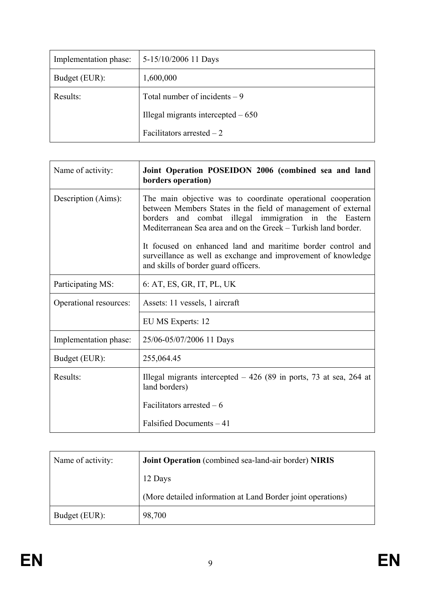| Implementation phase: | 5-15/10/2006 11 Days                |
|-----------------------|-------------------------------------|
| Budget (EUR):         | 1,600,000                           |
| Results:              | Total number of incidents $-9$      |
|                       | Illegal migrants intercepted $-650$ |
|                       | Facilitators arrested $-2$          |

| Name of activity:      | Joint Operation POSEIDON 2006 (combined sea and land<br>borders operation)                                                                                                                                                                                  |
|------------------------|-------------------------------------------------------------------------------------------------------------------------------------------------------------------------------------------------------------------------------------------------------------|
| Description (Aims):    | The main objective was to coordinate operational cooperation<br>between Members States in the field of management of external<br>and combat illegal immigration in the Eastern<br>borders<br>Mediterranean Sea area and on the Greek – Turkish land border. |
|                        | It focused on enhanced land and maritime border control and<br>surveillance as well as exchange and improvement of knowledge<br>and skills of border guard officers.                                                                                        |
| Participating MS:      | 6: AT, ES, GR, IT, PL, UK                                                                                                                                                                                                                                   |
| Operational resources: | Assets: 11 vessels, 1 aircraft                                                                                                                                                                                                                              |
|                        | EU MS Experts: 12                                                                                                                                                                                                                                           |
| Implementation phase:  | 25/06-05/07/2006 11 Days                                                                                                                                                                                                                                    |
| Budget (EUR):          | 255,064.45                                                                                                                                                                                                                                                  |
| Results:               | Illegal migrants intercepted $-426$ (89 in ports, 73 at sea, 264 at<br>land borders)                                                                                                                                                                        |
|                        | Facilitators arrested $-6$                                                                                                                                                                                                                                  |
|                        | Falsified Documents - 41                                                                                                                                                                                                                                    |

| Name of activity: | Joint Operation (combined sea-land-air border) NIRIS        |
|-------------------|-------------------------------------------------------------|
|                   | 12 Days                                                     |
|                   | (More detailed information at Land Border joint operations) |
| Budget (EUR):     | 98,700                                                      |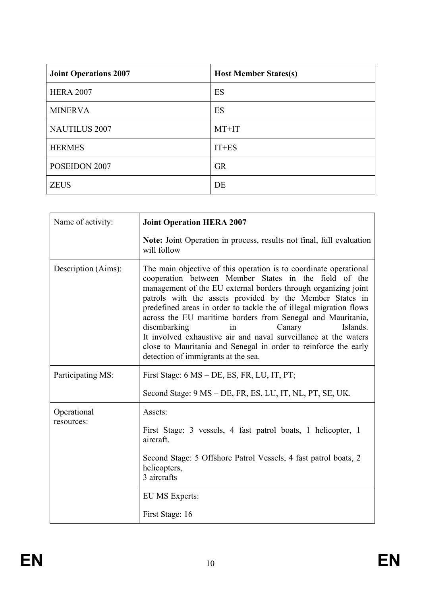| <b>Joint Operations 2007</b> | <b>Host Member States(s)</b> |
|------------------------------|------------------------------|
| <b>HERA 2007</b>             | ES                           |
| <b>MINERVA</b>               | ES                           |
| <b>NAUTILUS 2007</b>         | MT+IT                        |
| <b>HERMES</b>                | $IT+ES$                      |
| POSEIDON 2007                | <b>GR</b>                    |
| <b>ZEUS</b>                  | DE                           |

| Name of activity:         | <b>Joint Operation HERA 2007</b>                                                                                                                                                                                                                                                                                                                                                                                                                                                                                                                                                                                       |
|---------------------------|------------------------------------------------------------------------------------------------------------------------------------------------------------------------------------------------------------------------------------------------------------------------------------------------------------------------------------------------------------------------------------------------------------------------------------------------------------------------------------------------------------------------------------------------------------------------------------------------------------------------|
|                           | Note: Joint Operation in process, results not final, full evaluation<br>will follow                                                                                                                                                                                                                                                                                                                                                                                                                                                                                                                                    |
| Description (Aims):       | The main objective of this operation is to coordinate operational<br>cooperation between Member States in the field of the<br>management of the EU external borders through organizing joint<br>patrols with the assets provided by the Member States in<br>predefined areas in order to tackle the of illegal migration flows<br>across the EU maritime borders from Senegal and Mauritania,<br>disembarking<br>Canary<br>Islands.<br>in<br>It involved exhaustive air and naval surveillance at the waters<br>close to Mauritania and Senegal in order to reinforce the early<br>detection of immigrants at the sea. |
| Participating MS:         | First Stage: 6 MS – DE, ES, FR, LU, IT, PT;                                                                                                                                                                                                                                                                                                                                                                                                                                                                                                                                                                            |
|                           | Second Stage: 9 MS – DE, FR, ES, LU, IT, NL, PT, SE, UK.                                                                                                                                                                                                                                                                                                                                                                                                                                                                                                                                                               |
| Operational<br>resources: | Assets:<br>First Stage: 3 vessels, 4 fast patrol boats, 1 helicopter, 1<br>aircraft.<br>Second Stage: 5 Offshore Patrol Vessels, 4 fast patrol boats, 2<br>helicopters,<br>3 aircrafts<br>EU MS Experts:<br>First Stage: 16                                                                                                                                                                                                                                                                                                                                                                                            |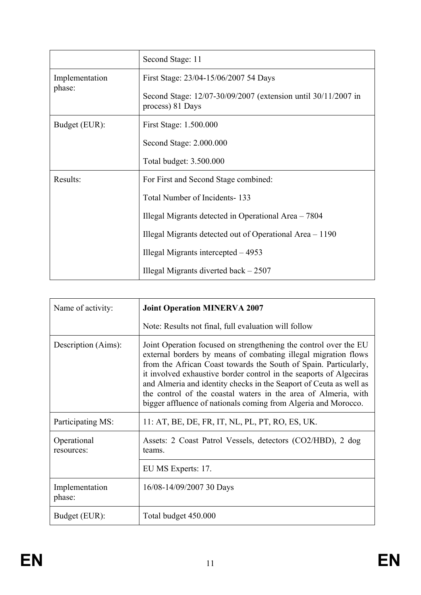|                | Second Stage: 11                                                                  |
|----------------|-----------------------------------------------------------------------------------|
| Implementation | First Stage: 23/04-15/06/2007 54 Days                                             |
| phase:         | Second Stage: 12/07-30/09/2007 (extension until 30/11/2007 in<br>process) 81 Days |
| Budget (EUR):  | First Stage: 1.500.000                                                            |
|                | Second Stage: 2.000.000                                                           |
|                | Total budget: 3.500.000                                                           |
| Results:       | For First and Second Stage combined:                                              |
|                | Total Number of Incidents-133                                                     |
|                | Illegal Migrants detected in Operational Area – 7804                              |
|                | Illegal Migrants detected out of Operational Area – 1190                          |
|                | Illegal Migrants intercepted $-4953$                                              |
|                | Illegal Migrants diverted back $-2507$                                            |

| Name of activity:         | <b>Joint Operation MINERVA 2007</b>                                                                                                                                                                                                                                                                                                                                                                                                                                                    |
|---------------------------|----------------------------------------------------------------------------------------------------------------------------------------------------------------------------------------------------------------------------------------------------------------------------------------------------------------------------------------------------------------------------------------------------------------------------------------------------------------------------------------|
|                           | Note: Results not final, full evaluation will follow                                                                                                                                                                                                                                                                                                                                                                                                                                   |
| Description (Aims):       | Joint Operation focused on strengthening the control over the EU<br>external borders by means of combating illegal migration flows<br>from the African Coast towards the South of Spain. Particularly,<br>it involved exhaustive border control in the seaports of Algeciras<br>and Almeria and identity checks in the Seaport of Ceuta as well as<br>the control of the coastal waters in the area of Almeria, with<br>bigger affluence of nationals coming from Algeria and Morocco. |
| Participating MS:         | 11: AT, BE, DE, FR, IT, NL, PL, PT, RO, ES, UK.                                                                                                                                                                                                                                                                                                                                                                                                                                        |
| Operational<br>resources: | Assets: 2 Coast Patrol Vessels, detectors (CO2/HBD), 2 dog<br>teams.                                                                                                                                                                                                                                                                                                                                                                                                                   |
|                           | EU MS Experts: 17.                                                                                                                                                                                                                                                                                                                                                                                                                                                                     |
| Implementation<br>phase:  | 16/08-14/09/2007 30 Days                                                                                                                                                                                                                                                                                                                                                                                                                                                               |
| Budget (EUR):             | Total budget 450.000                                                                                                                                                                                                                                                                                                                                                                                                                                                                   |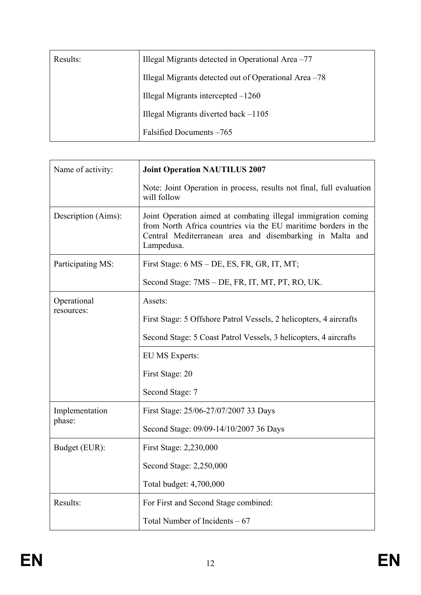| Results: | Illegal Migrants detected in Operational Area -77     |
|----------|-------------------------------------------------------|
|          | Illegal Migrants detected out of Operational Area -78 |
|          | Illegal Migrants intercepted $-1260$                  |
|          | Illegal Migrants diverted back -1105                  |
|          | Falsified Documents -765                              |

| Name of activity:   | <b>Joint Operation NAUTILUS 2007</b>                                                                                                                                                                      |
|---------------------|-----------------------------------------------------------------------------------------------------------------------------------------------------------------------------------------------------------|
|                     | Note: Joint Operation in process, results not final, full evaluation<br>will follow                                                                                                                       |
| Description (Aims): | Joint Operation aimed at combating illegal immigration coming<br>from North Africa countries via the EU maritime borders in the<br>Central Mediterranean area and disembarking in Malta and<br>Lampedusa. |
| Participating MS:   | First Stage: 6 MS – DE, ES, FR, GR, IT, MT;                                                                                                                                                               |
|                     | Second Stage: 7MS – DE, FR, IT, MT, PT, RO, UK.                                                                                                                                                           |
| Operational         | Assets:                                                                                                                                                                                                   |
| resources:          | First Stage: 5 Offshore Patrol Vessels, 2 helicopters, 4 aircrafts                                                                                                                                        |
|                     | Second Stage: 5 Coast Patrol Vessels, 3 helicopters, 4 aircrafts                                                                                                                                          |
|                     | EU MS Experts:                                                                                                                                                                                            |
|                     | First Stage: 20                                                                                                                                                                                           |
|                     | Second Stage: 7                                                                                                                                                                                           |
| Implementation      | First Stage: 25/06-27/07/2007 33 Days                                                                                                                                                                     |
| phase:              | Second Stage: 09/09-14/10/2007 36 Days                                                                                                                                                                    |
| Budget (EUR):       | First Stage: 2,230,000                                                                                                                                                                                    |
|                     | Second Stage: 2,250,000                                                                                                                                                                                   |
|                     | Total budget: 4,700,000                                                                                                                                                                                   |
| Results:            | For First and Second Stage combined:                                                                                                                                                                      |
|                     | Total Number of Incidents $-67$                                                                                                                                                                           |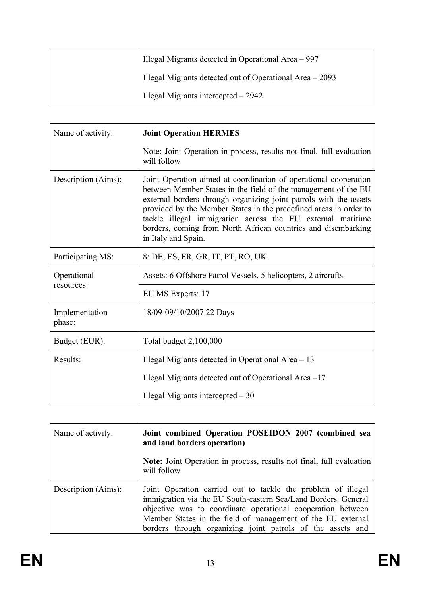| Illegal Migrants detected in Operational Area – 997      |
|----------------------------------------------------------|
| Illegal Migrants detected out of Operational Area – 2093 |
| Illegal Migrants intercepted $-2942$                     |

| Name of activity:         | <b>Joint Operation HERMES</b>                                                                                                                                                                                                                                                                                                                                                                                                      |
|---------------------------|------------------------------------------------------------------------------------------------------------------------------------------------------------------------------------------------------------------------------------------------------------------------------------------------------------------------------------------------------------------------------------------------------------------------------------|
|                           | Note: Joint Operation in process, results not final, full evaluation<br>will follow                                                                                                                                                                                                                                                                                                                                                |
| Description (Aims):       | Joint Operation aimed at coordination of operational cooperation<br>between Member States in the field of the management of the EU<br>external borders through organizing joint patrols with the assets<br>provided by the Member States in the predefined areas in order to<br>tackle illegal immigration across the EU external maritime<br>borders, coming from North African countries and disembarking<br>in Italy and Spain. |
| Participating MS:         | 8: DE, ES, FR, GR, IT, PT, RO, UK.                                                                                                                                                                                                                                                                                                                                                                                                 |
| Operational<br>resources: | Assets: 6 Offshore Patrol Vessels, 5 helicopters, 2 aircrafts.                                                                                                                                                                                                                                                                                                                                                                     |
|                           | EU MS Experts: 17                                                                                                                                                                                                                                                                                                                                                                                                                  |
| Implementation<br>phase:  | 18/09-09/10/2007 22 Days                                                                                                                                                                                                                                                                                                                                                                                                           |
| Budget (EUR):             | Total budget 2,100,000                                                                                                                                                                                                                                                                                                                                                                                                             |
| Results:                  | Illegal Migrants detected in Operational Area - 13                                                                                                                                                                                                                                                                                                                                                                                 |
|                           | Illegal Migrants detected out of Operational Area -17                                                                                                                                                                                                                                                                                                                                                                              |
|                           | Illegal Migrants intercepted $-30$                                                                                                                                                                                                                                                                                                                                                                                                 |

| Name of activity:   | Joint combined Operation POSEIDON 2007 (combined sea<br>and land borders operation)                                                                                                                                                                                                                                        |
|---------------------|----------------------------------------------------------------------------------------------------------------------------------------------------------------------------------------------------------------------------------------------------------------------------------------------------------------------------|
|                     | Note: Joint Operation in process, results not final, full evaluation<br>will follow                                                                                                                                                                                                                                        |
| Description (Aims): | Joint Operation carried out to tackle the problem of illegal<br>immigration via the EU South-eastern Sea/Land Borders. General<br>objective was to coordinate operational cooperation between<br>Member States in the field of management of the EU external<br>borders through organizing joint patrols of the assets and |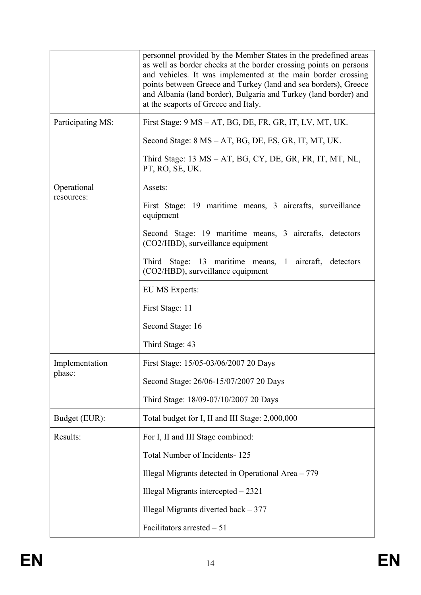|                   | personnel provided by the Member States in the predefined areas<br>as well as border checks at the border crossing points on persons<br>and vehicles. It was implemented at the main border crossing<br>points between Greece and Turkey (land and sea borders), Greece<br>and Albania (land border), Bulgaria and Turkey (land border) and<br>at the seaports of Greece and Italy. |
|-------------------|-------------------------------------------------------------------------------------------------------------------------------------------------------------------------------------------------------------------------------------------------------------------------------------------------------------------------------------------------------------------------------------|
| Participating MS: | First Stage: 9 MS – AT, BG, DE, FR, GR, IT, LV, MT, UK.                                                                                                                                                                                                                                                                                                                             |
|                   | Second Stage: 8 MS – AT, BG, DE, ES, GR, IT, MT, UK.                                                                                                                                                                                                                                                                                                                                |
|                   | Third Stage: 13 MS – AT, BG, CY, DE, GR, FR, IT, MT, NL,<br>PT, RO, SE, UK.                                                                                                                                                                                                                                                                                                         |
| Operational       | Assets:                                                                                                                                                                                                                                                                                                                                                                             |
| resources:        | First Stage: 19 maritime means, 3 aircrafts, surveillance<br>equipment                                                                                                                                                                                                                                                                                                              |
|                   | Second Stage: 19 maritime means, 3 aircrafts, detectors<br>(CO2/HBD), surveillance equipment                                                                                                                                                                                                                                                                                        |
|                   | Third Stage: 13 maritime means, 1 aircraft, detectors<br>(CO2/HBD), surveillance equipment                                                                                                                                                                                                                                                                                          |
|                   | <b>EU MS Experts:</b>                                                                                                                                                                                                                                                                                                                                                               |
|                   | First Stage: 11                                                                                                                                                                                                                                                                                                                                                                     |
|                   | Second Stage: 16                                                                                                                                                                                                                                                                                                                                                                    |
|                   | Third Stage: 43                                                                                                                                                                                                                                                                                                                                                                     |
| Implementation    | First Stage: 15/05-03/06/2007 20 Days                                                                                                                                                                                                                                                                                                                                               |
| phase:            | Second Stage: 26/06-15/07/2007 20 Days                                                                                                                                                                                                                                                                                                                                              |
|                   | Third Stage: 18/09-07/10/2007 20 Days                                                                                                                                                                                                                                                                                                                                               |
| Budget (EUR):     | Total budget for I, II and III Stage: 2,000,000                                                                                                                                                                                                                                                                                                                                     |
| Results:          | For I, II and III Stage combined:                                                                                                                                                                                                                                                                                                                                                   |
|                   | Total Number of Incidents-125                                                                                                                                                                                                                                                                                                                                                       |
|                   | Illegal Migrants detected in Operational Area - 779                                                                                                                                                                                                                                                                                                                                 |
|                   | Illegal Migrants intercepted $-2321$                                                                                                                                                                                                                                                                                                                                                |
|                   | Illegal Migrants diverted back $-377$                                                                                                                                                                                                                                                                                                                                               |
|                   | Facilitators arrested $-51$                                                                                                                                                                                                                                                                                                                                                         |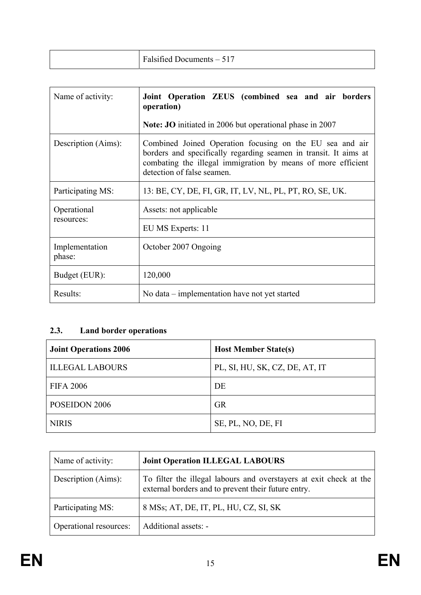| $-517$<br>Falsified L<br>Documents – 5<br>. |  |
|---------------------------------------------|--|
|---------------------------------------------|--|

| Name of activity:         | Joint Operation ZEUS (combined sea and air borders<br>operation)                                                                                                                                                           |
|---------------------------|----------------------------------------------------------------------------------------------------------------------------------------------------------------------------------------------------------------------------|
|                           | <b>Note: JO</b> initiated in 2006 but operational phase in 2007                                                                                                                                                            |
| Description (Aims):       | Combined Joined Operation focusing on the EU sea and air<br>borders and specifically regarding seamen in transit. It aims at<br>combating the illegal immigration by means of more efficient<br>detection of false seamen. |
| Participating MS:         | 13: BE, CY, DE, FI, GR, IT, LV, NL, PL, PT, RO, SE, UK.                                                                                                                                                                    |
| Operational<br>resources: | Assets: not applicable                                                                                                                                                                                                     |
|                           | EU MS Experts: 11                                                                                                                                                                                                          |
| Implementation<br>phase:  | October 2007 Ongoing                                                                                                                                                                                                       |
| Budget (EUR):             | 120,000                                                                                                                                                                                                                    |
| Results:                  | No data – implementation have not yet started                                                                                                                                                                              |

# **2.3. Land border operations**

| <b>Joint Operations 2006</b> | <b>Host Member State(s)</b>    |
|------------------------------|--------------------------------|
| <b>ILLEGAL LABOURS</b>       | PL, SI, HU, SK, CZ, DE, AT, IT |
| <b>FIFA 2006</b>             | DE                             |
| POSEIDON 2006                | <b>GR</b>                      |
| <b>NIRIS</b>                 | SE, PL, NO, DE, FI             |

| Name of activity:      | <b>Joint Operation ILLEGAL LABOURS</b>                                                                                    |
|------------------------|---------------------------------------------------------------------------------------------------------------------------|
| Description (Aims):    | To filter the illegal labours and overstayers at exit check at the<br>external borders and to prevent their future entry. |
| Participating MS:      | 8 MSs; AT, DE, IT, PL, HU, CZ, SI, SK                                                                                     |
| Operational resources: | Additional assets: -                                                                                                      |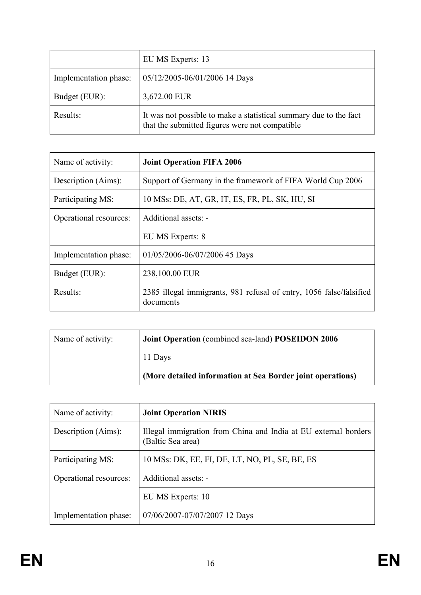|                       | EU MS Experts: 13                                                                                                   |
|-----------------------|---------------------------------------------------------------------------------------------------------------------|
| Implementation phase: | 05/12/2005-06/01/2006 14 Days                                                                                       |
| Budget (EUR):         | 3,672.00 EUR                                                                                                        |
| Results:              | It was not possible to make a statistical summary due to the fact<br>that the submitted figures were not compatible |

| Name of activity:      | <b>Joint Operation FIFA 2006</b>                                                 |
|------------------------|----------------------------------------------------------------------------------|
| Description (Aims):    | Support of Germany in the framework of FIFA World Cup 2006                       |
| Participating MS:      | 10 MSs: DE, AT, GR, IT, ES, FR, PL, SK, HU, SI                                   |
| Operational resources: | Additional assets: -                                                             |
|                        | EU MS Experts: 8                                                                 |
| Implementation phase:  | 01/05/2006-06/07/2006 45 Days                                                    |
| Budget (EUR):          | 238,100.00 EUR                                                                   |
| Results:               | 2385 illegal immigrants, 981 refusal of entry, 1056 false/falsified<br>documents |

| Name of activity: | Joint Operation (combined sea-land) POSEIDON 2006          |
|-------------------|------------------------------------------------------------|
|                   | 11 Days                                                    |
|                   | (More detailed information at Sea Border joint operations) |

| Name of activity:      | <b>Joint Operation NIRIS</b>                                                         |
|------------------------|--------------------------------------------------------------------------------------|
| Description (Aims):    | Illegal immigration from China and India at EU external borders<br>(Baltic Sea area) |
| Participating MS:      | 10 MSs: DK, EE, FI, DE, LT, NO, PL, SE, BE, ES                                       |
| Operational resources: | Additional assets: -                                                                 |
|                        | EU MS Experts: 10                                                                    |
| Implementation phase:  | 07/06/2007-07/07/2007 12 Days                                                        |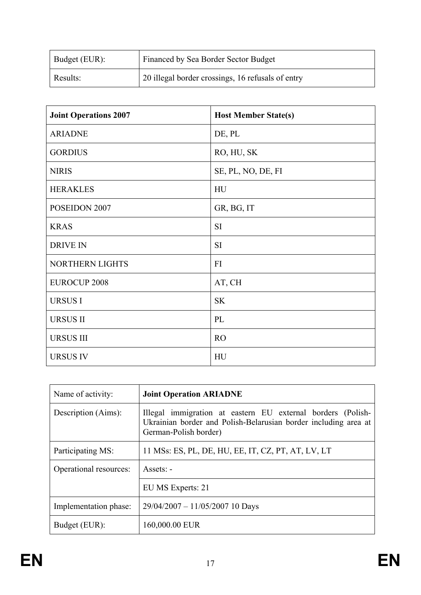| Budget (EUR): | Financed by Sea Border Sector Budget              |
|---------------|---------------------------------------------------|
| Results:      | 20 illegal border crossings, 16 refusals of entry |

| <b>Joint Operations 2007</b> | <b>Host Member State(s)</b> |
|------------------------------|-----------------------------|
| <b>ARIADNE</b>               | DE, PL                      |
| <b>GORDIUS</b>               | RO, HU, SK                  |
| <b>NIRIS</b>                 | SE, PL, NO, DE, FI          |
| <b>HERAKLES</b>              | HU                          |
| POSEIDON 2007                | GR, BG, IT                  |
| <b>KRAS</b>                  | <b>SI</b>                   |
| <b>DRIVE IN</b>              | <b>SI</b>                   |
| NORTHERN LIGHTS              | FI                          |
| <b>EUROCUP 2008</b>          | AT, CH                      |
| <b>URSUSI</b>                | <b>SK</b>                   |
| <b>URSUS II</b>              | PL                          |
| <b>URSUS III</b>             | <b>RO</b>                   |
| <b>URSUS IV</b>              | HU                          |

| Name of activity:      | <b>Joint Operation ARIADNE</b>                                                                                                                          |
|------------------------|---------------------------------------------------------------------------------------------------------------------------------------------------------|
| Description (Aims):    | Illegal immigration at eastern EU external borders (Polish-<br>Ukrainian border and Polish-Belarusian border including area at<br>German-Polish border) |
| Participating MS:      | 11 MSs: ES, PL, DE, HU, EE, IT, CZ, PT, AT, LV, LT                                                                                                      |
| Operational resources: | Assets: -                                                                                                                                               |
|                        | EU MS Experts: 21                                                                                                                                       |
| Implementation phase:  | $29/04/2007 - 11/05/2007$ 10 Days                                                                                                                       |
| Budget (EUR):          | 160,000.00 EUR                                                                                                                                          |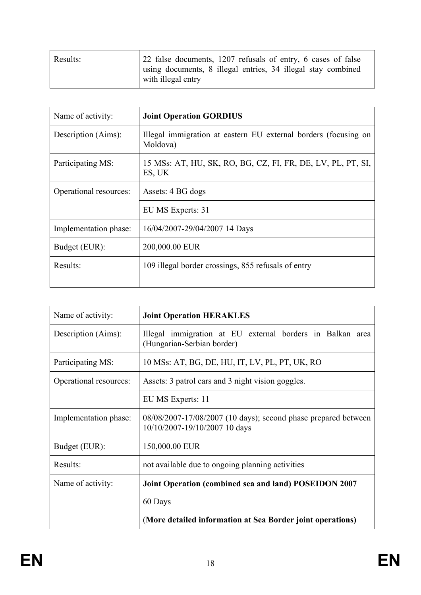| Results: | 22 false documents, 1207 refusals of entry, 6 cases of false                       |
|----------|------------------------------------------------------------------------------------|
|          | using documents, 8 illegal entries, 34 illegal stay combined<br>with illegal entry |

| Name of activity:      | <b>Joint Operation GORDIUS</b>                                              |
|------------------------|-----------------------------------------------------------------------------|
| Description (Aims):    | Illegal immigration at eastern EU external borders (focusing on<br>Moldova) |
| Participating MS:      | 15 MSs: AT, HU, SK, RO, BG, CZ, FI, FR, DE, LV, PL, PT, SI,<br>ES, UK       |
| Operational resources: | Assets: 4 BG dogs                                                           |
|                        | EU MS Experts: 31                                                           |
| Implementation phase:  | 16/04/2007-29/04/2007 14 Days                                               |
| Budget (EUR):          | 200,000.00 EUR                                                              |
| Results:               | 109 illegal border crossings, 855 refusals of entry                         |

| Name of activity:      | <b>Joint Operation HERAKLES</b>                                                                 |
|------------------------|-------------------------------------------------------------------------------------------------|
| Description (Aims):    | Illegal immigration at EU external borders in Balkan area<br>(Hungarian-Serbian border)         |
| Participating MS:      | 10 MSs: AT, BG, DE, HU, IT, LV, PL, PT, UK, RO                                                  |
| Operational resources: | Assets: 3 patrol cars and 3 night vision goggles.                                               |
|                        | EU MS Experts: 11                                                                               |
| Implementation phase:  | 08/08/2007-17/08/2007 (10 days); second phase prepared between<br>10/10/2007-19/10/2007 10 days |
| Budget (EUR):          | 150,000.00 EUR                                                                                  |
| Results:               | not available due to ongoing planning activities                                                |
| Name of activity:      | Joint Operation (combined sea and land) POSEIDON 2007                                           |
|                        | 60 Days                                                                                         |
|                        | (More detailed information at Sea Border joint operations)                                      |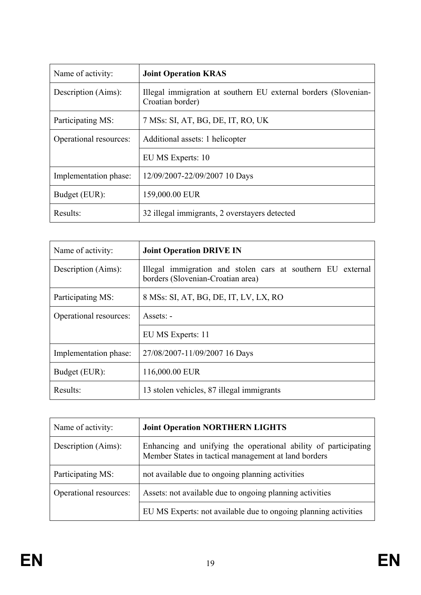| Name of activity:      | <b>Joint Operation KRAS</b>                                                         |
|------------------------|-------------------------------------------------------------------------------------|
| Description (Aims):    | Illegal immigration at southern EU external borders (Slovenian-<br>Croatian border) |
| Participating MS:      | 7 MSs: SI, AT, BG, DE, IT, RO, UK                                                   |
| Operational resources: | Additional assets: 1 helicopter                                                     |
|                        | EU MS Experts: 10                                                                   |
| Implementation phase:  | 12/09/2007-22/09/2007 10 Days                                                       |
| Budget (EUR):          | 159,000.00 EUR                                                                      |
| Results:               | 32 illegal immigrants, 2 overstayers detected                                       |

| Name of activity:      | <b>Joint Operation DRIVE IN</b>                                                                  |
|------------------------|--------------------------------------------------------------------------------------------------|
| Description (Aims):    | Illegal immigration and stolen cars at southern EU external<br>borders (Slovenian-Croatian area) |
| Participating MS:      | 8 MSs: SI, AT, BG, DE, IT, LV, LX, RO                                                            |
| Operational resources: | $Assets: -$                                                                                      |
|                        | EU MS Experts: 11                                                                                |
| Implementation phase:  | 27/08/2007-11/09/2007 16 Days                                                                    |
| Budget (EUR):          | 116,000.00 EUR                                                                                   |
| Results:               | 13 stolen vehicles, 87 illegal immigrants                                                        |

| Name of activity:      | <b>Joint Operation NORTHERN LIGHTS</b>                                                                                  |
|------------------------|-------------------------------------------------------------------------------------------------------------------------|
| Description (Aims):    | Enhancing and unifying the operational ability of participating<br>Member States in tactical management at land borders |
| Participating MS:      | not available due to ongoing planning activities                                                                        |
| Operational resources: | Assets: not available due to ongoing planning activities                                                                |
|                        | EU MS Experts: not available due to ongoing planning activities                                                         |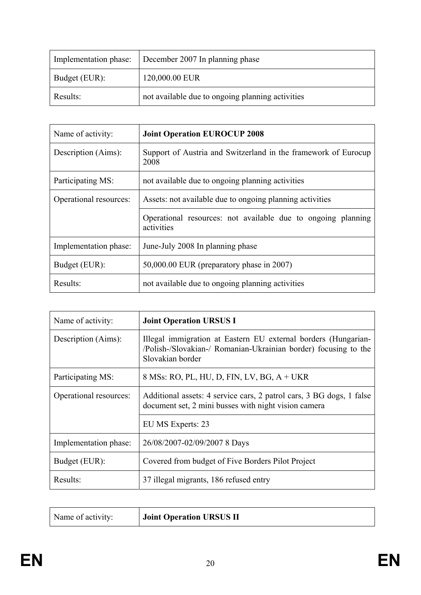| Implementation phase: | December 2007 In planning phase                  |
|-----------------------|--------------------------------------------------|
| Budget (EUR):         | 120,000.00 EUR                                   |
| Results:              | not available due to ongoing planning activities |

| Name of activity:      | <b>Joint Operation EUROCUP 2008</b>                                        |
|------------------------|----------------------------------------------------------------------------|
| Description (Aims):    | Support of Austria and Switzerland in the framework of Eurocup<br>2008     |
| Participating MS:      | not available due to ongoing planning activities                           |
| Operational resources: | Assets: not available due to ongoing planning activities                   |
|                        | Operational resources: not available due to ongoing planning<br>activities |
| Implementation phase:  | June-July 2008 In planning phase                                           |
| Budget (EUR):          | $50,000.00$ EUR (preparatory phase in 2007)                                |
| Results:               | not available due to ongoing planning activities                           |

| Name of activity:      | <b>Joint Operation URSUS I</b>                                                                                                                        |
|------------------------|-------------------------------------------------------------------------------------------------------------------------------------------------------|
| Description (Aims):    | Illegal immigration at Eastern EU external borders (Hungarian-<br>/Polish-/Slovakian-/ Romanian-Ukrainian border) focusing to the<br>Slovakian border |
| Participating MS:      | 8 MSs: RO, PL, HU, D, FIN, LV, BG, A + UKR                                                                                                            |
| Operational resources: | Additional assets: 4 service cars, 2 patrol cars, 3 BG dogs, 1 false<br>document set, 2 mini busses with night vision camera                          |
|                        | EU MS Experts: 23                                                                                                                                     |
| Implementation phase:  | 26/08/2007-02/09/2007 8 Days                                                                                                                          |
| Budget (EUR):          | Covered from budget of Five Borders Pilot Project                                                                                                     |
| Results:               | 37 illegal migrants, 186 refused entry                                                                                                                |

| Name of activity: | <b>Joint Operation URSUS II</b> |
|-------------------|---------------------------------|
|                   |                                 |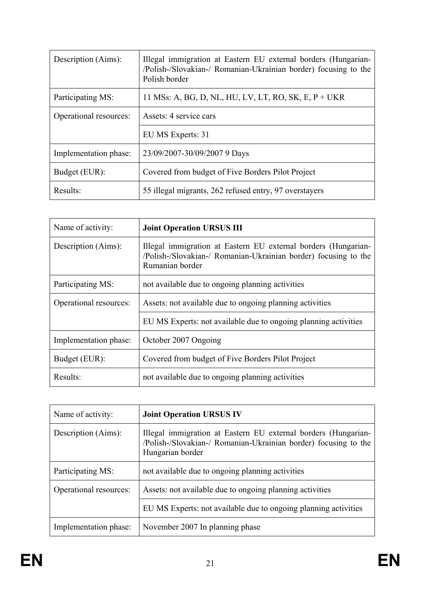| Description (Aims):    | Illegal immigration at Eastern EU external borders (Hungarian-<br>/Polish-/Slovakian-/ Romanian-Ukrainian border) focusing to the<br>Polish border |
|------------------------|----------------------------------------------------------------------------------------------------------------------------------------------------|
| Participating MS:      | 11 MSs: A, BG, D, NL, HU, LV, LT, RO, SK, E, $P+UKR$                                                                                               |
| Operational resources: | Assets: 4 service cars                                                                                                                             |
|                        | EU MS Experts: 31                                                                                                                                  |
| Implementation phase:  | 23/09/2007-30/09/2007 9 Days                                                                                                                       |
| Budget (EUR):          | Covered from budget of Five Borders Pilot Project                                                                                                  |
| Results:               | 55 illegal migrants, 262 refused entry, 97 overstayers                                                                                             |

| Name of activity:      | <b>Joint Operation URSUS III</b>                                                                                                                     |
|------------------------|------------------------------------------------------------------------------------------------------------------------------------------------------|
| Description (Aims):    | Illegal immigration at Eastern EU external borders (Hungarian-<br>/Polish-/Slovakian-/ Romanian-Ukrainian border) focusing to the<br>Rumanian border |
| Participating MS:      | not available due to ongoing planning activities                                                                                                     |
| Operational resources: | Assets: not available due to ongoing planning activities                                                                                             |
|                        | EU MS Experts: not available due to ongoing planning activities                                                                                      |
| Implementation phase:  | October 2007 Ongoing                                                                                                                                 |
| Budget (EUR):          | Covered from budget of Five Borders Pilot Project                                                                                                    |
| Results:               | not available due to ongoing planning activities                                                                                                     |

| Name of activity:      | <b>Joint Operation URSUS IV</b>                                                                                                                       |
|------------------------|-------------------------------------------------------------------------------------------------------------------------------------------------------|
| Description (Aims):    | Illegal immigration at Eastern EU external borders (Hungarian-<br>/Polish-/Slovakian-/ Romanian-Ukrainian border) focusing to the<br>Hungarian border |
| Participating MS:      | not available due to ongoing planning activities                                                                                                      |
| Operational resources: | Assets: not available due to ongoing planning activities                                                                                              |
|                        | EU MS Experts: not available due to ongoing planning activities                                                                                       |
| Implementation phase:  | November 2007 In planning phase                                                                                                                       |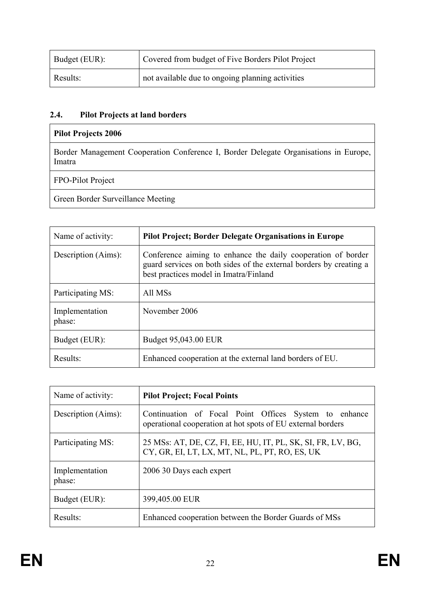| Budget (EUR): | Covered from budget of Five Borders Pilot Project |
|---------------|---------------------------------------------------|
| Results:      | not available due to ongoing planning activities  |

## **2.4. Pilot Projects at land borders**

## **Pilot Projects 2006**

Border Management Cooperation Conference I, Border Delegate Organisations in Europe, Imatra

FPO-Pilot Project

Green Border Surveillance Meeting

| Name of activity:        | <b>Pilot Project; Border Delegate Organisations in Europe</b>                                                                                                                |
|--------------------------|------------------------------------------------------------------------------------------------------------------------------------------------------------------------------|
| Description (Aims):      | Conference aiming to enhance the daily cooperation of border<br>guard services on both sides of the external borders by creating a<br>best practices model in Imatra/Finland |
| Participating MS:        | All MSs                                                                                                                                                                      |
| Implementation<br>phase: | November 2006                                                                                                                                                                |
| Budget (EUR):            | Budget 95,043.00 EUR                                                                                                                                                         |
| Results:                 | Enhanced cooperation at the external land borders of EU.                                                                                                                     |

| Name of activity:        | <b>Pilot Project; Focal Points</b>                                                                                   |
|--------------------------|----------------------------------------------------------------------------------------------------------------------|
| Description (Aims):      | Continuation of Focal Point Offices System to enhance<br>operational cooperation at hot spots of EU external borders |
| Participating MS:        | 25 MSs: AT, DE, CZ, FI, EE, HU, IT, PL, SK, SI, FR, LV, BG,<br>CY, GR, EI, LT, LX, MT, NL, PL, PT, RO, ES, UK        |
| Implementation<br>phase: | 2006 30 Days each expert                                                                                             |
| Budget (EUR):            | 399,405.00 EUR                                                                                                       |
| Results:                 | Enhanced cooperation between the Border Guards of MSs                                                                |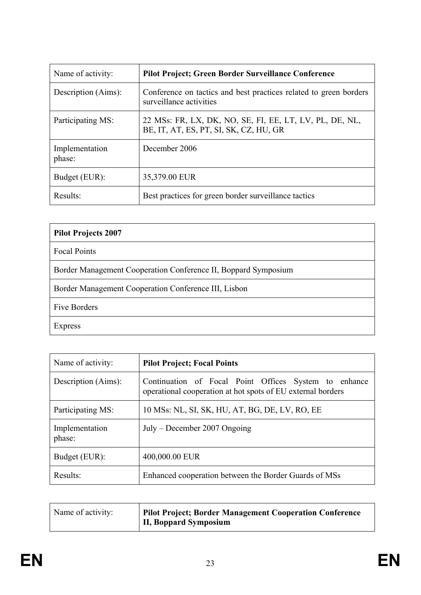| Name of activity:        | <b>Pilot Project; Green Border Surveillance Conference</b>                                        |
|--------------------------|---------------------------------------------------------------------------------------------------|
| Description (Aims):      | Conference on tactics and best practices related to green borders<br>surveillance activities      |
| Participating MS:        | 22 MSs: FR, LX, DK, NO, SE, FI, EE, LT, LV, PL, DE, NL,<br>BE, IT, AT, ES, PT, SI, SK, CZ, HU, GR |
| Implementation<br>phase: | December 2006                                                                                     |
| Budget (EUR):            | 35,379.00 EUR                                                                                     |
| Results:                 | Best practices for green border surveillance tactics                                              |

| <b>Pilot Projects 2007</b>                                     |
|----------------------------------------------------------------|
| <b>Focal Points</b>                                            |
| Border Management Cooperation Conference II, Boppard Symposium |
| Border Management Cooperation Conference III, Lisbon           |
| <b>Five Borders</b>                                            |
| Express                                                        |

| Name of activity:        | <b>Pilot Project; Focal Points</b>                                                                                   |
|--------------------------|----------------------------------------------------------------------------------------------------------------------|
| Description (Aims):      | Continuation of Focal Point Offices System to enhance<br>operational cooperation at hot spots of EU external borders |
| Participating MS:        | 10 MSs: NL, SI, SK, HU, AT, BG, DE, LV, RO, EE                                                                       |
| Implementation<br>phase: | $July - December 2007 \, Ongoing$                                                                                    |
| Budget (EUR):            | 400,000.00 EUR                                                                                                       |
| Results:                 | Enhanced cooperation between the Border Guards of MSs                                                                |

| Name of activity: | <b>Pilot Project; Border Management Cooperation Conference</b> |
|-------------------|----------------------------------------------------------------|
|                   | II, Boppard Symposium                                          |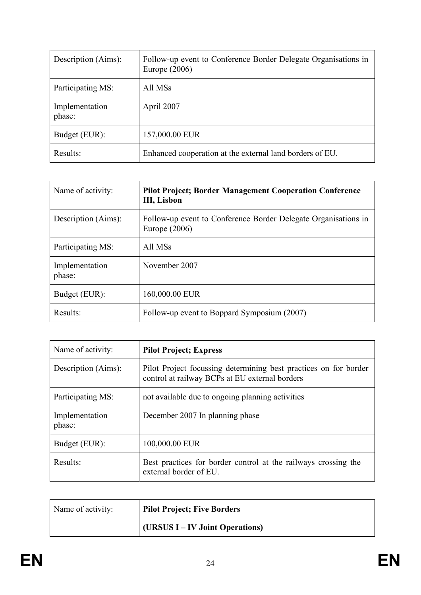| Description (Aims):      | Follow-up event to Conference Border Delegate Organisations in<br>Europe $(2006)$ |
|--------------------------|-----------------------------------------------------------------------------------|
| Participating MS:        | All MSs                                                                           |
| Implementation<br>phase: | April 2007                                                                        |
| Budget (EUR):            | 157,000.00 EUR                                                                    |
| Results:                 | Enhanced cooperation at the external land borders of EU.                          |

| Name of activity:        | <b>Pilot Project; Border Management Cooperation Conference</b><br>III, Lisbon     |
|--------------------------|-----------------------------------------------------------------------------------|
| Description (Aims):      | Follow-up event to Conference Border Delegate Organisations in<br>Europe $(2006)$ |
| Participating MS:        | All MSs                                                                           |
| Implementation<br>phase: | November 2007                                                                     |
| Budget (EUR):            | 160,000.00 EUR                                                                    |
| Results:                 | Follow-up event to Boppard Symposium (2007)                                       |

| Name of activity:        | <b>Pilot Project; Express</b>                                                                                      |
|--------------------------|--------------------------------------------------------------------------------------------------------------------|
| Description (Aims):      | Pilot Project focussing determining best practices on for border<br>control at railway BCPs at EU external borders |
| Participating MS:        | not available due to ongoing planning activities                                                                   |
| Implementation<br>phase: | December 2007 In planning phase                                                                                    |
| Budget (EUR):            | 100,000.00 EUR                                                                                                     |
| Results:                 | Best practices for border control at the railways crossing the<br>external border of EU.                           |

| Name of activity: | <b>Pilot Project; Five Borders</b> |
|-------------------|------------------------------------|
|                   | (URSUS I – IV Joint Operations)    |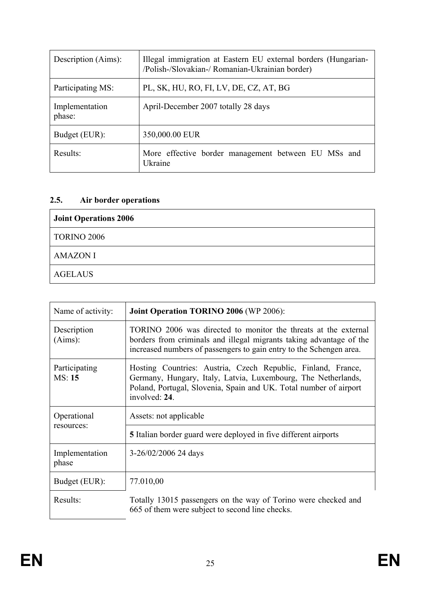| Description (Aims):      | Illegal immigration at Eastern EU external borders (Hungarian-<br>/Polish-/Slovakian-/ Romanian-Ukrainian border) |
|--------------------------|-------------------------------------------------------------------------------------------------------------------|
| Participating MS:        | PL, SK, HU, RO, FI, LV, DE, CZ, AT, BG                                                                            |
| Implementation<br>phase: | April-December 2007 totally 28 days                                                                               |
| Budget (EUR):            | 350,000.00 EUR                                                                                                    |
| Results:                 | More effective border management between EU MSs and<br>Ukraine                                                    |

# **2.5. Air border operations**

| <b>Joint Operations 2006</b> |
|------------------------------|
| <b>TORINO 2006</b>           |
| <b>AMAZON I</b>              |
| <b>AGELAUS</b>               |

| Name of activity:         | <b>Joint Operation TORINO 2006 (WP 2006):</b>                                                                                                                                                                       |
|---------------------------|---------------------------------------------------------------------------------------------------------------------------------------------------------------------------------------------------------------------|
| Description<br>(Aims):    | TORINO 2006 was directed to monitor the threats at the external<br>borders from criminals and illegal migrants taking advantage of the<br>increased numbers of passengers to gain entry to the Schengen area.       |
| Participating<br>MS: 15   | Hosting Countries: Austria, Czech Republic, Finland, France,<br>Germany, Hungary, Italy, Latvia, Luxembourg, The Netherlands,<br>Poland, Portugal, Slovenia, Spain and UK. Total number of airport<br>involved: 24. |
| Operational<br>resources: | Assets: not applicable                                                                                                                                                                                              |
|                           | <b>5</b> Italian border guard were deployed in five different airports                                                                                                                                              |
| Implementation<br>phase   | 3-26/02/2006 24 days                                                                                                                                                                                                |
| Budget (EUR):             | 77.010,00                                                                                                                                                                                                           |
| Results:                  | Totally 13015 passengers on the way of Torino were checked and<br>665 of them were subject to second line checks.                                                                                                   |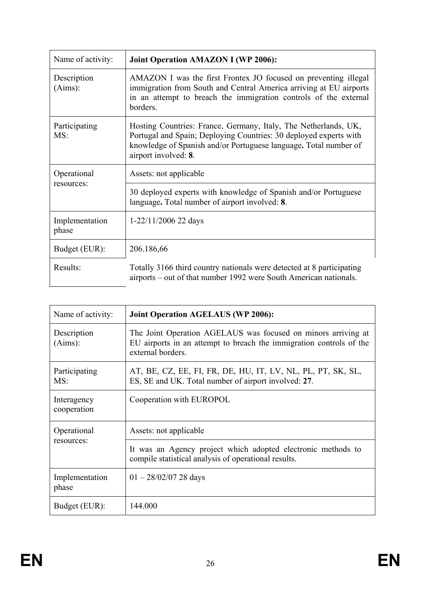| Name of activity:       | <b>Joint Operation AMAZON I (WP 2006):</b>                                                                                                                                                                                       |
|-------------------------|----------------------------------------------------------------------------------------------------------------------------------------------------------------------------------------------------------------------------------|
| Description<br>(Aims):  | AMAZON I was the first Frontex JO focused on preventing illegal<br>immigration from South and Central America arriving at EU airports<br>in an attempt to breach the immigration controls of the external<br>borders.            |
| Participating<br>MS:    | Hosting Countries: France, Germany, Italy, The Netherlands, UK,<br>Portugal and Spain; Deploying Countries: 30 deployed experts with<br>knowledge of Spanish and/or Portuguese language. Total number of<br>airport involved: 8. |
| Operational             | Assets: not applicable                                                                                                                                                                                                           |
| resources:              | 30 deployed experts with knowledge of Spanish and/or Portuguese<br>language. Total number of airport involved: 8.                                                                                                                |
| Implementation<br>phase | $1-22/11/2006$ 22 days                                                                                                                                                                                                           |
| Budget (EUR):           | 206.186,66                                                                                                                                                                                                                       |
| Results:                | Totally 3166 third country nationals were detected at 8 participating<br>airports – out of that number 1992 were South American nationals.                                                                                       |

| Name of activity:          | <b>Joint Operation AGELAUS (WP 2006):</b>                                                                                                                 |
|----------------------------|-----------------------------------------------------------------------------------------------------------------------------------------------------------|
| Description<br>(Aims):     | The Joint Operation AGELAUS was focused on minors arriving at<br>EU airports in an attempt to breach the immigration controls of the<br>external borders. |
| Participating<br>MS:       | AT, BE, CZ, EE, FI, FR, DE, HU, IT, LV, NL, PL, PT, SK, SL,<br>ES, SE and UK. Total number of airport involved: 27.                                       |
| Interagency<br>cooperation | Cooperation with EUROPOL                                                                                                                                  |
| Operational<br>resources:  | Assets: not applicable                                                                                                                                    |
|                            | It was an Agency project which adopted electronic methods to<br>compile statistical analysis of operational results.                                      |
| Implementation<br>phase    | $01 - \frac{28}{02}{07}$ 28 days                                                                                                                          |
| Budget (EUR):              | 144.000                                                                                                                                                   |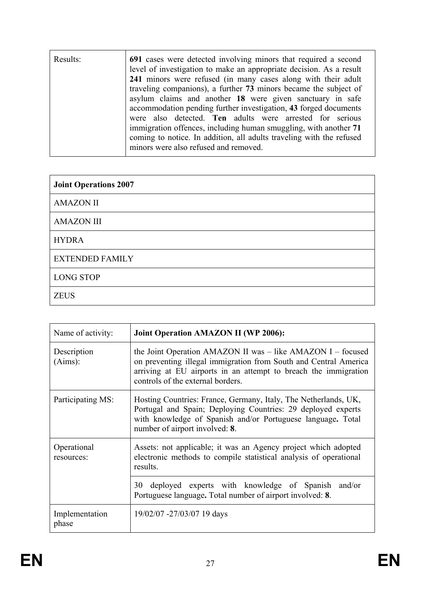| Results: | 691 cases were detected involving minors that required a second<br>level of investigation to make an appropriate decision. As a result<br>241 minors were refused (in many cases along with their adult<br>traveling companions), a further 73 minors became the subject of<br>asylum claims and another 18 were given sanctuary in safe<br>accommodation pending further investigation, 43 forged documents<br>were also detected. Ten adults were arrested for serious<br>immigration offences, including human smuggling, with another 71<br>coming to notice. In addition, all adults traveling with the refused<br>minors were also refused and removed. |
|----------|---------------------------------------------------------------------------------------------------------------------------------------------------------------------------------------------------------------------------------------------------------------------------------------------------------------------------------------------------------------------------------------------------------------------------------------------------------------------------------------------------------------------------------------------------------------------------------------------------------------------------------------------------------------|
|          |                                                                                                                                                                                                                                                                                                                                                                                                                                                                                                                                                                                                                                                               |

| <b>Joint Operations 2007</b> |
|------------------------------|
| <b>AMAZON II</b>             |
| <b>AMAZON III</b>            |
| <b>HYDRA</b>                 |
| <b>EXTENDED FAMILY</b>       |
| <b>LONG STOP</b>             |
| <b>ZEUS</b>                  |

| Name of activity:         | <b>Joint Operation AMAZON II (WP 2006):</b>                                                                                                                                                                                             |
|---------------------------|-----------------------------------------------------------------------------------------------------------------------------------------------------------------------------------------------------------------------------------------|
| Description<br>(Aims):    | the Joint Operation AMAZON II was – like AMAZON I – focused<br>on preventing illegal immigration from South and Central America<br>arriving at EU airports in an attempt to breach the immigration<br>controls of the external borders. |
| Participating MS:         | Hosting Countries: France, Germany, Italy, The Netherlands, UK,<br>Portugal and Spain; Deploying Countries: 29 deployed experts<br>with knowledge of Spanish and/or Portuguese language. Total<br>number of airport involved: 8.        |
| Operational<br>resources: | Assets: not applicable; it was an Agency project which adopted<br>electronic methods to compile statistical analysis of operational<br>results.                                                                                         |
|                           | deployed experts with knowledge of Spanish and/or<br>30<br>Portuguese language. Total number of airport involved: 8.                                                                                                                    |
| Implementation<br>phase   | 19/02/07 -27/03/07 19 days                                                                                                                                                                                                              |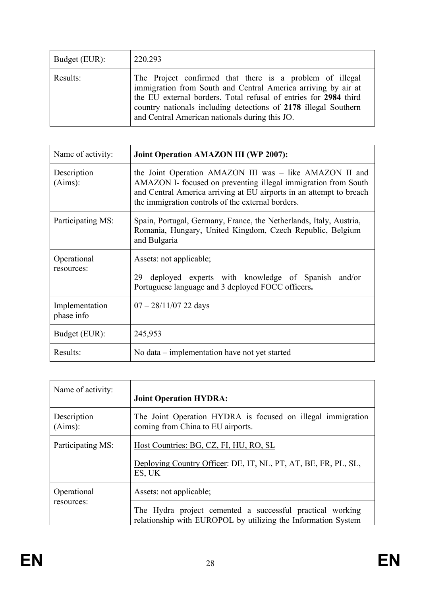| Budget (EUR): | 220.293                                                                                                                                                                                                                                                                                                            |
|---------------|--------------------------------------------------------------------------------------------------------------------------------------------------------------------------------------------------------------------------------------------------------------------------------------------------------------------|
| Results:      | The Project confirmed that there is a problem of illegal<br>immigration from South and Central America arriving by air at<br>the EU external borders. Total refusal of entries for 2984 third<br>country nationals including detections of 2178 illegal Southern<br>and Central American nationals during this JO. |

| Name of activity:            | <b>Joint Operation AMAZON III (WP 2007):</b>                                                                                                                                                                                                          |
|------------------------------|-------------------------------------------------------------------------------------------------------------------------------------------------------------------------------------------------------------------------------------------------------|
| Description<br>(Aims):       | the Joint Operation AMAZON III was – like AMAZON II and<br>AMAZON I- focused on preventing illegal immigration from South<br>and Central America arriving at EU airports in an attempt to breach<br>the immigration controls of the external borders. |
| Participating MS:            | Spain, Portugal, Germany, France, the Netherlands, Italy, Austria,<br>Romania, Hungary, United Kingdom, Czech Republic, Belgium<br>and Bulgaria                                                                                                       |
| Operational<br>resources:    | Assets: not applicable;                                                                                                                                                                                                                               |
|                              | deployed experts with knowledge of Spanish and/or<br>29<br>Portuguese language and 3 deployed FOCC officers.                                                                                                                                          |
| Implementation<br>phase info | $07 - 28/11/07$ 22 days                                                                                                                                                                                                                               |
| Budget (EUR):                | 245,953                                                                                                                                                                                                                                               |
| Results:                     | No data – implementation have not yet started                                                                                                                                                                                                         |

| Name of activity:         | <b>Joint Operation HYDRA:</b>                                                                                              |
|---------------------------|----------------------------------------------------------------------------------------------------------------------------|
| Description<br>(Aims):    | The Joint Operation HYDRA is focused on illegal immigration<br>coming from China to EU airports.                           |
| Participating MS:         | Host Countries: BG, CZ, FI, HU, RO, SL<br>Deploying Country Officer: DE, IT, NL, PT, AT, BE, FR, PL, SL,<br>ES, UK         |
| Operational<br>resources: | Assets: not applicable;                                                                                                    |
|                           | The Hydra project cemented a successful practical working<br>relationship with EUROPOL by utilizing the Information System |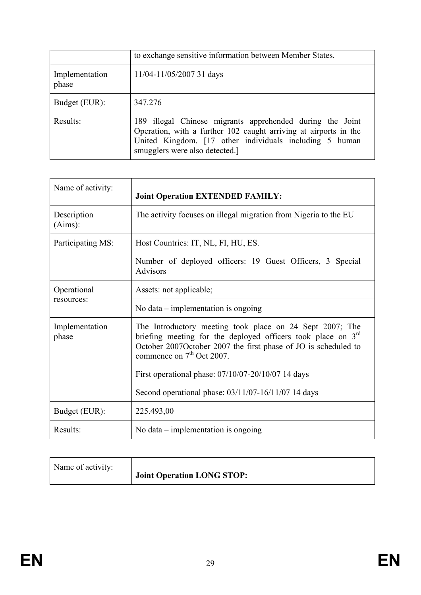|                         | to exchange sensitive information between Member States.                                                                                                                                                                   |
|-------------------------|----------------------------------------------------------------------------------------------------------------------------------------------------------------------------------------------------------------------------|
| Implementation<br>phase | $11/04 - 11/05/2007$ 31 days                                                                                                                                                                                               |
| Budget (EUR):           | 347.276                                                                                                                                                                                                                    |
| Results:                | 189 illegal Chinese migrants apprehended during the Joint<br>Operation, with a further 102 caught arriving at airports in the<br>United Kingdom. [17 other individuals including 5 human<br>smugglers were also detected.] |

| Name of activity:         | <b>Joint Operation EXTENDED FAMILY:</b>                                                                                                                                                                                               |
|---------------------------|---------------------------------------------------------------------------------------------------------------------------------------------------------------------------------------------------------------------------------------|
| Description<br>(Aims):    | The activity focuses on illegal migration from Nigeria to the EU                                                                                                                                                                      |
| Participating MS:         | Host Countries: IT, NL, FI, HU, ES.<br>Number of deployed officers: 19 Guest Officers, 3 Special<br><b>Advisors</b>                                                                                                                   |
| Operational<br>resources: | Assets: not applicable;                                                                                                                                                                                                               |
|                           | No data $-$ implementation is ongoing                                                                                                                                                                                                 |
| Implementation<br>phase   | The Introductory meeting took place on 24 Sept 2007; The<br>briefing meeting for the deployed officers took place on 3 <sup>rd</sup><br>October 2007October 2007 the first phase of JO is scheduled to<br>commence on $7th$ Oct 2007. |
|                           | First operational phase: 07/10/07-20/10/07 14 days                                                                                                                                                                                    |
|                           | Second operational phase: 03/11/07-16/11/07 14 days                                                                                                                                                                                   |
| Budget (EUR):             | 225.493,00                                                                                                                                                                                                                            |
| Results:                  | No data $-$ implementation is ongoing                                                                                                                                                                                                 |

| Name of activity: | Joint Operation LONG STOP: |
|-------------------|----------------------------|
|-------------------|----------------------------|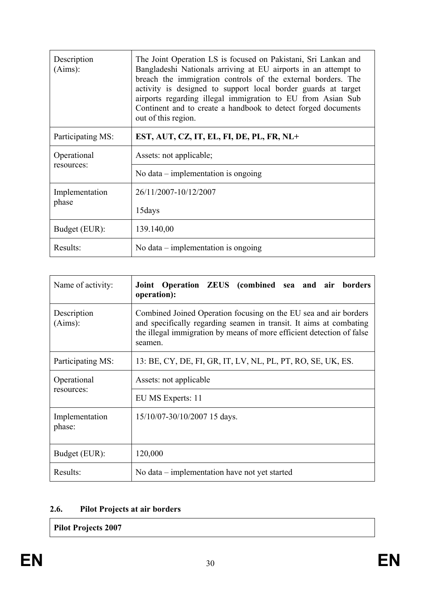| Description<br>(Aims):    | The Joint Operation LS is focused on Pakistani, Sri Lankan and<br>Bangladeshi Nationals arriving at EU airports in an attempt to<br>breach the immigration controls of the external borders. The<br>activity is designed to support local border guards at target<br>airports regarding illegal immigration to EU from Asian Sub<br>Continent and to create a handbook to detect forged documents<br>out of this region. |
|---------------------------|--------------------------------------------------------------------------------------------------------------------------------------------------------------------------------------------------------------------------------------------------------------------------------------------------------------------------------------------------------------------------------------------------------------------------|
| Participating MS:         | EST, AUT, CZ, IT, EL, FI, DE, PL, FR, NL+                                                                                                                                                                                                                                                                                                                                                                                |
| Operational<br>resources: | Assets: not applicable;                                                                                                                                                                                                                                                                                                                                                                                                  |
|                           | No data $-$ implementation is ongoing                                                                                                                                                                                                                                                                                                                                                                                    |
| Implementation<br>phase   | 26/11/2007-10/12/2007                                                                                                                                                                                                                                                                                                                                                                                                    |
|                           | 15 days                                                                                                                                                                                                                                                                                                                                                                                                                  |
| Budget (EUR):             | 139.140,00                                                                                                                                                                                                                                                                                                                                                                                                               |
| Results:                  | No data $-$ implementation is ongoing                                                                                                                                                                                                                                                                                                                                                                                    |

| Name of activity:         | Joint Operation ZEUS (combined sea and air borders<br>operation):                                                                                                                                                          |
|---------------------------|----------------------------------------------------------------------------------------------------------------------------------------------------------------------------------------------------------------------------|
| Description<br>(Aims):    | Combined Joined Operation focusing on the EU sea and air borders<br>and specifically regarding seamen in transit. It aims at combating<br>the illegal immigration by means of more efficient detection of false<br>seamen. |
| Participating MS:         | 13: BE, CY, DE, FI, GR, IT, LV, NL, PL, PT, RO, SE, UK, ES.                                                                                                                                                                |
| Operational<br>resources: | Assets: not applicable                                                                                                                                                                                                     |
|                           | EU MS Experts: 11                                                                                                                                                                                                          |
| Implementation<br>phase:  | 15/10/07-30/10/2007 15 days.                                                                                                                                                                                               |
| Budget (EUR):             | 120,000                                                                                                                                                                                                                    |
| Results:                  | No data – implementation have not yet started                                                                                                                                                                              |

# **2.6. Pilot Projects at air borders**

**Pilot Projects 2007**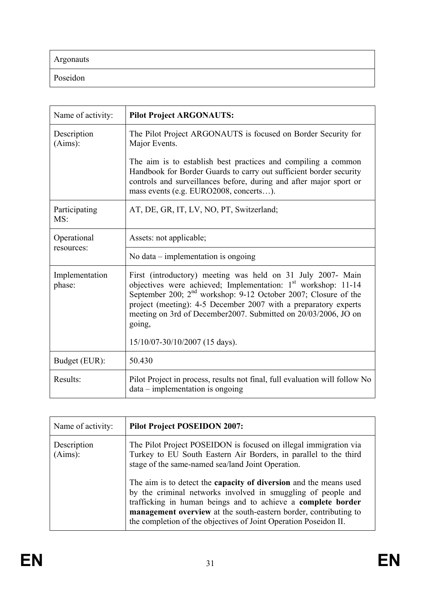Argonauts

Poseidon

| Name of activity:         | <b>Pilot Project ARGONAUTS:</b>                                                                                                                                                                                                                                                                                                                             |
|---------------------------|-------------------------------------------------------------------------------------------------------------------------------------------------------------------------------------------------------------------------------------------------------------------------------------------------------------------------------------------------------------|
| Description<br>(Aims):    | The Pilot Project ARGONAUTS is focused on Border Security for<br>Major Events.                                                                                                                                                                                                                                                                              |
|                           | The aim is to establish best practices and compiling a common<br>Handbook for Border Guards to carry out sufficient border security<br>controls and surveillances before, during and after major sport or<br>mass events (e.g. EURO2008, concerts).                                                                                                         |
| Participating<br>MS:      | AT, DE, GR, IT, LV, NO, PT, Switzerland;                                                                                                                                                                                                                                                                                                                    |
| Operational<br>resources: | Assets: not applicable;                                                                                                                                                                                                                                                                                                                                     |
|                           | No data $-$ implementation is ongoing                                                                                                                                                                                                                                                                                                                       |
| Implementation<br>phase:  | First (introductory) meeting was held on 31 July 2007- Main<br>objectives were achieved; Implementation: 1 <sup>st</sup> workshop: 11-14<br>September 200; $2nd$ workshop: 9-12 October 2007; Closure of the<br>project (meeting): 4-5 December 2007 with a preparatory experts<br>meeting on 3rd of December2007. Submitted on 20/03/2006, JO on<br>going, |
|                           | 15/10/07-30/10/2007 (15 days).                                                                                                                                                                                                                                                                                                                              |
| Budget (EUR):             | 50.430                                                                                                                                                                                                                                                                                                                                                      |
| Results:                  | Pilot Project in process, results not final, full evaluation will follow No<br>$data - implementation$ is ongoing                                                                                                                                                                                                                                           |

| Name of activity:      | <b>Pilot Project POSEIDON 2007:</b>                                                                                                                                                                                                                                                                                                       |
|------------------------|-------------------------------------------------------------------------------------------------------------------------------------------------------------------------------------------------------------------------------------------------------------------------------------------------------------------------------------------|
| Description<br>(Aims): | The Pilot Project POSEIDON is focused on illegal immigration via<br>Turkey to EU South Eastern Air Borders, in parallel to the third<br>stage of the same-named sea/land Joint Operation.                                                                                                                                                 |
|                        | The aim is to detect the capacity of diversion and the means used<br>by the criminal networks involved in smuggling of people and<br>trafficking in human beings and to achieve a complete border<br>management overview at the south-eastern border, contributing to<br>the completion of the objectives of Joint Operation Poseidon II. |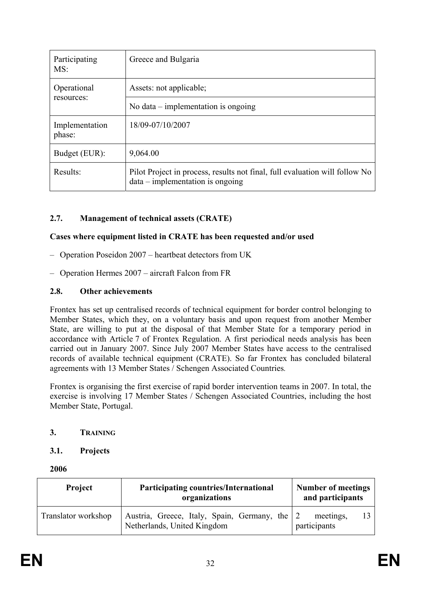| Participating<br>MS:     | Greece and Bulgaria                                                                                               |
|--------------------------|-------------------------------------------------------------------------------------------------------------------|
| Operational              | Assets: not applicable;                                                                                           |
| resources:               | No data $-$ implementation is ongoing                                                                             |
| Implementation<br>phase: | 18/09-07/10/2007                                                                                                  |
| Budget (EUR):            | 9,064.00                                                                                                          |
| Results:                 | Pilot Project in process, results not final, full evaluation will follow No<br>$data - implementation$ is ongoing |

## **2.7. Management of technical assets (CRATE)**

#### **Cases where equipment listed in CRATE has been requested and/or used**

- Operation Poseidon 2007 heartbeat detectors from UK
- Operation Hermes 2007 aircraft Falcon from FR

#### **2.8. Other achievements**

Frontex has set up centralised records of technical equipment for border control belonging to Member States, which they, on a voluntary basis and upon request from another Member State, are willing to put at the disposal of that Member State for a temporary period in accordance with Article 7 of Frontex Regulation. A first periodical needs analysis has been carried out in January 2007. Since July 2007 Member States have access to the centralised records of available technical equipment (CRATE). So far Frontex has concluded bilateral agreements with 13 Member States / Schengen Associated Countries*.* 

Frontex is organising the first exercise of rapid border intervention teams in 2007. In total, the exercise is involving 17 Member States / Schengen Associated Countries, including the host Member State, Portugal.

#### **3. TRAINING**

#### **3.1. Projects**

**2006** 

| <b>Project</b>      | <b>Participating countries/International</b><br>organizations                | <b>Number of meetings</b><br>and participants |  |
|---------------------|------------------------------------------------------------------------------|-----------------------------------------------|--|
| Translator workshop | Austria, Greece, Italy, Spain, Germany, the 2<br>Netherlands, United Kingdom | meetings,<br>participants                     |  |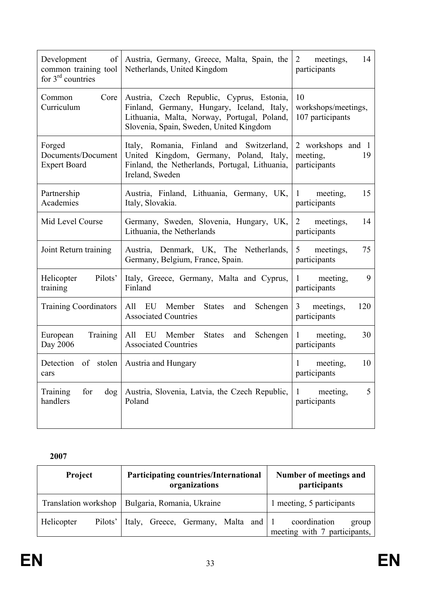| Development<br>of<br>common training tool<br>for $3rd$ countries | Austria, Germany, Greece, Malta, Spain, the<br>Netherlands, United Kingdom                                                                                                        | meetings,<br>14<br>2<br>participants                |
|------------------------------------------------------------------|-----------------------------------------------------------------------------------------------------------------------------------------------------------------------------------|-----------------------------------------------------|
| Core<br>Common<br>Curriculum                                     | Austria, Czech Republic, Cyprus, Estonia,<br>Finland, Germany, Hungary, Iceland, Italy,<br>Lithuania, Malta, Norway, Portugal, Poland,<br>Slovenia, Spain, Sweden, United Kingdom | 10<br>workshops/meetings,<br>107 participants       |
| Forged<br>Documents/Document<br><b>Expert Board</b>              | Italy, Romania, Finland and Switzerland,<br>United Kingdom, Germany, Poland, Italy,<br>Finland, the Netherlands, Portugal, Lithuania,<br>Ireland, Sweden                          | 2 workshops and 1<br>meeting,<br>19<br>participants |
| Partnership<br>Academies                                         | Austria, Finland, Lithuania, Germany, UK,<br>Italy, Slovakia.                                                                                                                     | meeting,<br>15<br>$\mathbf{1}$<br>participants      |
| Mid Level Course                                                 | Germany, Sweden, Slovenia, Hungary, UK,<br>Lithuania, the Netherlands                                                                                                             | $\overline{2}$<br>meetings,<br>14<br>participants   |
| Joint Return training                                            | Austria, Denmark, UK, The Netherlands,<br>Germany, Belgium, France, Spain.                                                                                                        | 5<br>meetings,<br>75<br>participants                |
| Pilots'<br>Helicopter<br>training                                | Italy, Greece, Germany, Malta and Cyprus,<br>Finland                                                                                                                              | 9<br>$\mathbf{1}$<br>meeting,<br>participants       |
| <b>Training Coordinators</b>                                     | All EU<br>Member<br><b>States</b><br>Schengen<br>and<br><b>Associated Countries</b>                                                                                               | 3 <sup>7</sup><br>meetings,<br>120<br>participants  |
| Training<br>European<br>Day 2006                                 | All EU Member<br><b>States</b><br>Schengen<br>and<br><b>Associated Countries</b>                                                                                                  | 30<br>meeting,<br>1<br>participants                 |
| Detection of stolen   Austria and Hungary<br>cars                |                                                                                                                                                                                   | 10<br>meeting,<br>participants                      |
| Training<br>for<br>dog<br>handlers                               | Austria, Slovenia, Latvia, the Czech Republic,<br>Poland                                                                                                                          | 5<br>meeting,<br>1<br>participants                  |

**2007** 

| Project               | <b>Participating countries/International</b><br>organizations | Number of meetings and<br><i>participants</i>         |  |
|-----------------------|---------------------------------------------------------------|-------------------------------------------------------|--|
|                       | Translation workshop   Bulgaria, Romania, Ukraine             | 1 meeting, 5 participants                             |  |
| Helicopter<br>Pilots' | Italy, Greece, Germany, Malta and 1                           | coordination<br>group<br>meeting with 7 participants, |  |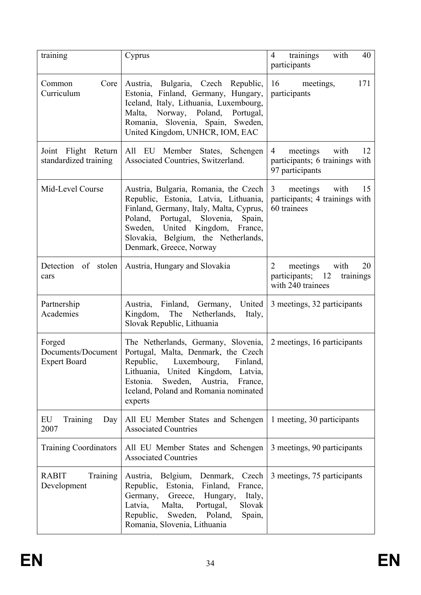| training                                            | Cyprus                                                                                                                                                                                                                                                                  | trainings<br>with<br>40<br>$\overline{4}$<br>participants                         |
|-----------------------------------------------------|-------------------------------------------------------------------------------------------------------------------------------------------------------------------------------------------------------------------------------------------------------------------------|-----------------------------------------------------------------------------------|
| Core<br>Common<br>Curriculum                        | Austria, Bulgaria, Czech Republic,<br>Estonia, Finland, Germany, Hungary,<br>Iceland, Italy, Lithuania, Luxembourg,<br>Malta, Norway, Poland, Portugal,<br>Romania, Slovenia, Spain, Sweden,<br>United Kingdom, UNHCR, IOM, EAC                                         | 171<br>16<br>meetings,<br>participants                                            |
| Joint Flight Return<br>standardized training        | All EU Member States, Schengen<br>Associated Countries, Switzerland.                                                                                                                                                                                                    | meetings<br>with<br>4<br>12<br>participants; 6 trainings with<br>97 participants  |
| Mid-Level Course                                    | Austria, Bulgaria, Romania, the Czech<br>Republic, Estonia, Latvia, Lithuania,<br>Finland, Germany, Italy, Malta, Cyprus,<br>Poland, Portugal, Slovenia,<br>Spain,<br>Sweden, United Kingdom, France,<br>Slovakia, Belgium, the Netherlands,<br>Denmark, Greece, Norway | meetings<br>with<br>15<br>3<br>participants; 4 trainings with<br>60 trainees      |
| Detection of stolen<br>cars                         | Austria, Hungary and Slovakia                                                                                                                                                                                                                                           | 2<br>meetings<br>with<br>20<br>participants; 12<br>trainings<br>with 240 trainees |
| Partnership<br>Academies                            | Austria, Finland, Germany, United<br>Kingdom, The Netherlands,<br>Italy,<br>Slovak Republic, Lithuania                                                                                                                                                                  | 3 meetings, 32 participants                                                       |
| Forged<br>Documents/Document<br><b>Expert Board</b> | The Netherlands, Germany, Slovenia,<br>Portugal, Malta, Denmark, the Czech<br>Finland,<br>Republic,<br>Luxembourg,<br>Lithuania, United Kingdom, Latvia,<br>Sweden,<br>Estonia.<br>Austria,<br>France,<br>Iceland, Poland and Romania nominated<br>experts              | 2 meetings, 16 participants                                                       |
| EU<br>Training<br>Day<br>2007                       | All EU Member States and Schengen<br><b>Associated Countries</b>                                                                                                                                                                                                        | 1 meeting, 30 participants                                                        |
| <b>Training Coordinators</b>                        | All EU Member States and Schengen<br><b>Associated Countries</b>                                                                                                                                                                                                        | 3 meetings, 90 participants                                                       |
| <b>RABIT</b><br>Training<br>Development             | Austria, Belgium,<br>Denmark,<br>Czech<br>Republic,<br>Estonia, Finland,<br>France,<br>Germany, Greece,<br>Hungary,<br>Italy,<br>Latvia,<br>Slovak<br>Malta,<br>Portugal,<br>Republic,<br>Sweden, Poland,<br>Spain,<br>Romania, Slovenia, Lithuania                     | 3 meetings, 75 participants                                                       |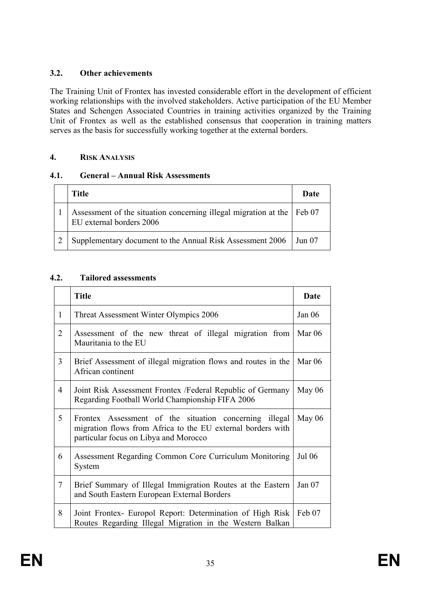## **3.2. Other achievements**

The Training Unit of Frontex has invested considerable effort in the development of efficient working relationships with the involved stakeholders. Active participation of the EU Member States and Schengen Associated Countries in training activities organized by the Training Unit of Frontex as well as the established consensus that cooperation in training matters serves as the basis for successfully working together at the external borders.

#### **4. RISK ANALYSIS**

#### **4.1. General – Annual Risk Assessments**

| <b>Title</b>                                                                                       | Date   |
|----------------------------------------------------------------------------------------------------|--------|
| Assessment of the situation concerning illegal migration at the Feb 07<br>EU external borders 2006 |        |
| Supplementary document to the Annual Risk Assessment 2006                                          | Jun 07 |

## **4.2. Tailored assessments**

|                | <b>Title</b>                                                                                                                                                   | Date          |
|----------------|----------------------------------------------------------------------------------------------------------------------------------------------------------------|---------------|
| $\mathbf{1}$   | Threat Assessment Winter Olympics 2006                                                                                                                         | Jan $06$      |
| $\overline{2}$ | Assessment of the new threat of illegal migration from<br>Mauritania to the EU                                                                                 | Mar $06$      |
| $\overline{3}$ | Brief Assessment of illegal migration flows and routes in the<br>African continent                                                                             | Mar 06        |
| $\overline{4}$ | Joint Risk Assessment Frontex / Federal Republic of Germany<br>Regarding Football World Championship FIFA 2006                                                 | May $06$      |
| 5              | Frontex Assessment of the situation concerning illegal<br>migration flows from Africa to the EU external borders with<br>particular focus on Libya and Morocco | May $06$      |
| 6              | Assessment Regarding Common Core Curriculum Monitoring<br>System                                                                                               | <b>Jul 06</b> |
| $\tau$         | Brief Summary of Illegal Immigration Routes at the Eastern<br>and South Eastern European External Borders                                                      | Jan $07$      |
| 8              | Joint Frontex- Europol Report: Determination of High Risk<br>Routes Regarding Illegal Migration in the Western Balkan                                          | Feb 07        |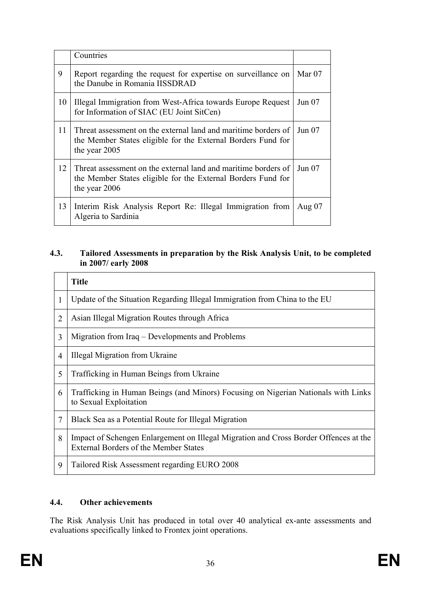|    | Countries                                                                                                                                       |          |
|----|-------------------------------------------------------------------------------------------------------------------------------------------------|----------|
| 9  | Report regarding the request for expertise on surveillance on<br>the Danube in Romania IISSDRAD                                                 | Mar $07$ |
| 10 | Illegal Immigration from West-Africa towards Europe Request<br>for Information of SIAC (EU Joint SitCen)                                        | Jun 07   |
| 11 | Threat assessment on the external land and maritime borders of<br>the Member States eligible for the External Borders Fund for<br>the year 2005 | Jun $07$ |
| 12 | Threat assessment on the external land and maritime borders of<br>the Member States eligible for the External Borders Fund for<br>the year 2006 | Jun 07   |
| 13 | Interim Risk Analysis Report Re: Illegal Immigration from<br>Algeria to Sardinia                                                                | Aug $07$ |

#### **4.3. Tailored Assessments in preparation by the Risk Analysis Unit, to be completed in 2007/ early 2008**

|                | <b>Title</b>                                                                                                                         |
|----------------|--------------------------------------------------------------------------------------------------------------------------------------|
| 1              | Update of the Situation Regarding Illegal Immigration from China to the EU                                                           |
| 2              | Asian Illegal Migration Routes through Africa                                                                                        |
| 3              | Migration from Iraq – Developments and Problems                                                                                      |
| $\overline{4}$ | Illegal Migration from Ukraine                                                                                                       |
| 5              | Trafficking in Human Beings from Ukraine                                                                                             |
| 6              | Trafficking in Human Beings (and Minors) Focusing on Nigerian Nationals with Links<br>to Sexual Exploitation                         |
| 7              | Black Sea as a Potential Route for Illegal Migration                                                                                 |
| 8              | Impact of Schengen Enlargement on Illegal Migration and Cross Border Offences at the<br><b>External Borders of the Member States</b> |
| 9              | Tailored Risk Assessment regarding EURO 2008                                                                                         |

#### **4.4. Other achievements**

The Risk Analysis Unit has produced in total over 40 analytical ex-ante assessments and evaluations specifically linked to Frontex joint operations.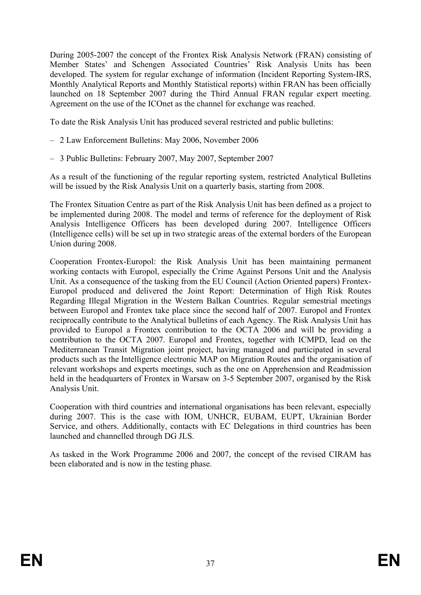During 2005-2007 the concept of the Frontex Risk Analysis Network (FRAN) consisting of Member States' and Schengen Associated Countries' Risk Analysis Units has been developed. The system for regular exchange of information (Incident Reporting System-IRS, Monthly Analytical Reports and Monthly Statistical reports) within FRAN has been officially launched on 18 September 2007 during the Third Annual FRAN regular expert meeting. Agreement on the use of the ICOnet as the channel for exchange was reached.

To date the Risk Analysis Unit has produced several restricted and public bulletins:

- 2 Law Enforcement Bulletins: May 2006, November 2006
- 3 Public Bulletins: February 2007, May 2007, September 2007

As a result of the functioning of the regular reporting system, restricted Analytical Bulletins will be issued by the Risk Analysis Unit on a quarterly basis, starting from 2008.

The Frontex Situation Centre as part of the Risk Analysis Unit has been defined as a project to be implemented during 2008. The model and terms of reference for the deployment of Risk Analysis Intelligence Officers has been developed during 2007. Intelligence Officers (Intelligence cells) will be set up in two strategic areas of the external borders of the European Union during 2008.

Cooperation Frontex-Europol: the Risk Analysis Unit has been maintaining permanent working contacts with Europol, especially the Crime Against Persons Unit and the Analysis Unit. As a consequence of the tasking from the EU Council (Action Oriented papers) Frontex-Europol produced and delivered the Joint Report: Determination of High Risk Routes Regarding Illegal Migration in the Western Balkan Countries. Regular semestrial meetings between Europol and Frontex take place since the second half of 2007. Europol and Frontex reciprocally contribute to the Analytical bulletins of each Agency. The Risk Analysis Unit has provided to Europol a Frontex contribution to the OCTA 2006 and will be providing a contribution to the OCTA 2007. Europol and Frontex, together with ICMPD, lead on the Mediterranean Transit Migration joint project, having managed and participated in several products such as the Intelligence electronic MAP on Migration Routes and the organisation of relevant workshops and experts meetings, such as the one on Apprehension and Readmission held in the headquarters of Frontex in Warsaw on 3-5 September 2007, organised by the Risk Analysis Unit.

Cooperation with third countries and international organisations has been relevant, especially during 2007. This is the case with IOM, UNHCR, EUBAM, EUPT, Ukrainian Border Service, and others. Additionally, contacts with EC Delegations in third countries has been launched and channelled through DG JLS.

As tasked in the Work Programme 2006 and 2007, the concept of the revised CIRAM has been elaborated and is now in the testing phase.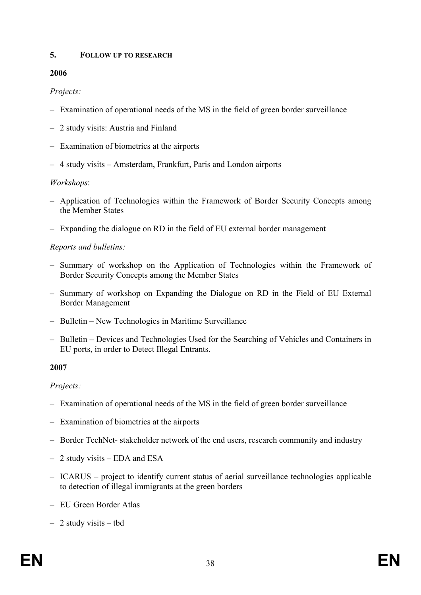#### **5. FOLLOW UP TO RESEARCH**

#### **2006**

## *Projects:*

- Examination of operational needs of the MS in the field of green border surveillance
- 2 study visits: Austria and Finland
- Examination of biometrics at the airports
- 4 study visits Amsterdam, Frankfurt, Paris and London airports

#### *Workshops*:

- Application of Technologies within the Framework of Border Security Concepts among the Member States
- Expanding the dialogue on RD in the field of EU external border management

## *Reports and bulletins:*

- Summary of workshop on the Application of Technologies within the Framework of Border Security Concepts among the Member States
- Summary of workshop on Expanding the Dialogue on RD in the Field of EU External Border Management
- Bulletin New Technologies in Maritime Surveillance
- Bulletin Devices and Technologies Used for the Searching of Vehicles and Containers in EU ports, in order to Detect Illegal Entrants.

#### **2007**

#### *Projects:*

- Examination of operational needs of the MS in the field of green border surveillance
- Examination of biometrics at the airports
- Border TechNet- stakeholder network of the end users, research community and industry
- 2 study visits EDA and ESA
- ICARUS project to identify current status of aerial surveillance technologies applicable to detection of illegal immigrants at the green borders
- EU Green Border Atlas
- 2 study visits tbd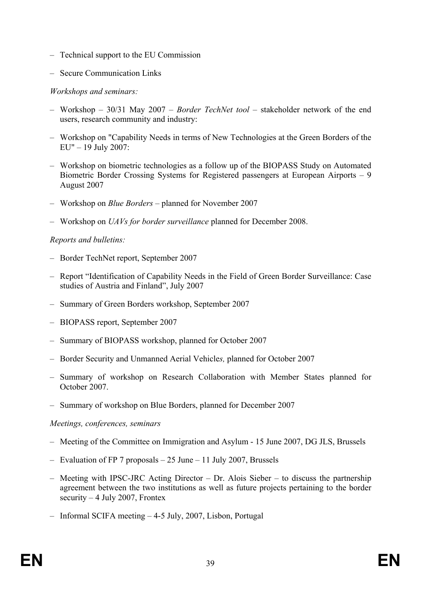- Technical support to the EU Commission
- Secure Communication Links

#### *Workshops and seminars:*

- Workshop 30/31 May 2007 *Border TechNet tool* stakeholder network of the end users, research community and industry:
- Workshop on "Capability Needs in terms of New Technologies at the Green Borders of the EU" – 19 July 2007:
- Workshop on biometric technologies as a follow up of the BIOPASS Study on Automated Biometric Border Crossing Systems for Registered passengers at European Airports – 9 August 2007
- Workshop on *Blue Borders* planned for November 2007
- Workshop on *UAVs for border surveillance* planned for December 2008.

#### *Reports and bulletins:*

- Border TechNet report, September 2007
- Report "Identification of Capability Needs in the Field of Green Border Surveillance: Case studies of Austria and Finland", July 2007
- Summary of Green Borders workshop, September 2007
- BIOPASS report, September 2007
- Summary of BIOPASS workshop, planned for October 2007
- Border Security and Unmanned Aerial Vehicle*s,* planned for October 2007
- Summary of workshop on Research Collaboration with Member States planned for October 2007.
- Summary of workshop on Blue Borders, planned for December 2007

#### *Meetings, conferences, seminars*

- Meeting of the Committee on Immigration and Asylum 15 June 2007, DG JLS, Brussels
- Evaluation of FP 7 proposals 25 June 11 July 2007, Brussels
- Meeting with IPSC-JRC Acting Director Dr. Alois Sieber to discuss the partnership agreement between the two institutions as well as future projects pertaining to the border security  $-4$  July 2007, Frontex
- Informal SCIFA meeting 4-5 July, 2007, Lisbon, Portugal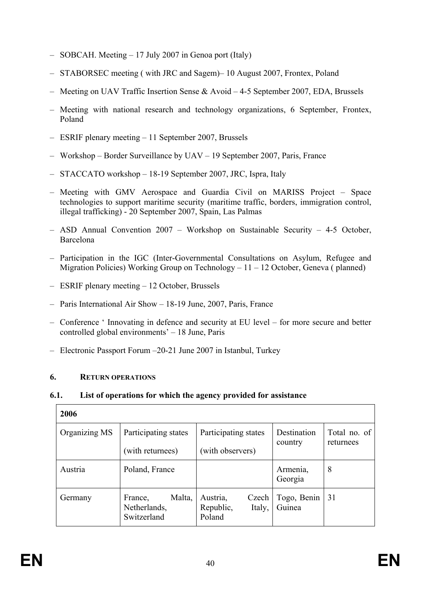- SOBCAH. Meeting 17 July 2007 in Genoa port (Italy)
- STABORSEC meeting ( with JRC and Sagem)– 10 August 2007, Frontex, Poland
- Meeting on UAV Traffic Insertion Sense & Avoid 4-5 September 2007, EDA, Brussels
- Meeting with national research and technology organizations, 6 September, Frontex, Poland
- ESRIF plenary meeting 11 September 2007, Brussels
- Workshop Border Surveillance by UAV 19 September 2007, Paris, France
- STACCATO workshop 18-19 September 2007, JRC, Ispra, Italy
- Meeting with GMV Aerospace and Guardia Civil on MARISS Project Space technologies to support maritime security (maritime traffic, borders, immigration control, illegal trafficking) - 20 September 2007, Spain, Las Palmas
- ASD Annual Convention 2007 Workshop on Sustainable Security 4-5 October, Barcelona
- Participation in the IGC (Inter-Governmental Consultations on Asylum, Refugee and Migration Policies) Working Group on Technology – 11 – 12 October, Geneva ( planned)
- ESRIF plenary meeting 12 October, Brussels
- Paris International Air Show 18-19 June, 2007, Paris, France
- Conference ' Innovating in defence and security at EU level for more secure and better controlled global environments' – 18 June, Paris
- Electronic Passport Forum –20-21 June 2007 in Istanbul, Turkey

#### **6. RETURN OPERATIONS**

 $\Gamma$ 

#### **6.1. List of operations for which the agency provided for assistance**

| 2006          |                                                  |                                                    |                        |                           |
|---------------|--------------------------------------------------|----------------------------------------------------|------------------------|---------------------------|
| Organizing MS | Participating states<br>(with returnees)         | Participating states<br>(with observers)           | Destination<br>country | Total no. of<br>returnees |
| Austria       | Poland, France                                   |                                                    | Armenia,<br>Georgia    | 8                         |
| Germany       | Malta,<br>France,<br>Netherlands,<br>Switzerland | Austria,<br>Czech<br>Italy,<br>Republic,<br>Poland | Togo, Benin<br>Guinea  | 31                        |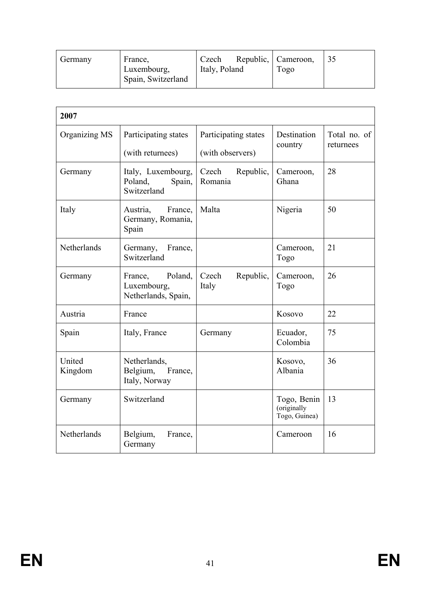|  | Germany | France,<br>Luxembourg,<br>Spain, Switzerland | Czech<br>Italy, Poland | Republic, Cameroon,<br>Togo | 35 |
|--|---------|----------------------------------------------|------------------------|-----------------------------|----|
|--|---------|----------------------------------------------|------------------------|-----------------------------|----|

| 2007              |                                                          |                                          |                                             |                           |  |
|-------------------|----------------------------------------------------------|------------------------------------------|---------------------------------------------|---------------------------|--|
| Organizing MS     | Participating states<br>(with returnees)                 | Participating states<br>(with observers) | Destination<br>country                      | Total no. of<br>returnees |  |
| Germany           | Italy, Luxembourg,<br>Poland,<br>Spain,<br>Switzerland   | Republic,<br>Czech<br>Romania            | Cameroon,<br>Ghana                          | 28                        |  |
| Italy             | Austria,<br>France,<br>Germany, Romania,<br>Spain        | Malta                                    | Nigeria                                     | 50                        |  |
| Netherlands       | Germany,<br>France,<br>Switzerland                       |                                          | Cameroon,<br>Togo                           | 21                        |  |
| Germany           | Poland,<br>France,<br>Luxembourg,<br>Netherlands, Spain, | Republic,<br>Czech<br>Italy              | Cameroon,<br>Togo                           | 26                        |  |
| Austria           | France                                                   |                                          | Kosovo                                      | 22                        |  |
| Spain             | Italy, France                                            | Germany                                  | Ecuador,<br>Colombia                        | 75                        |  |
| United<br>Kingdom | Netherlands,<br>Belgium,<br>France,<br>Italy, Norway     |                                          | Kosovo,<br>Albania                          | 36                        |  |
| Germany           | Switzerland                                              |                                          | Togo, Benin<br>(originally<br>Togo, Guinea) | 13                        |  |
| Netherlands       | Belgium,<br>France,<br>Germany                           |                                          | Cameroon                                    | 16                        |  |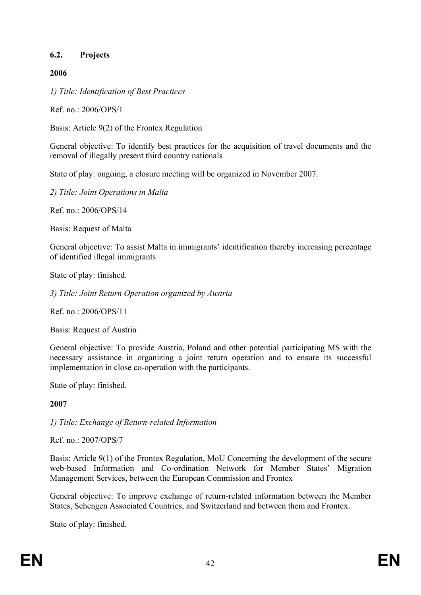#### **6.2. Projects**

#### **2006**

*1) Title: Identification of Best Practices* 

Ref. no.: 2006/OPS/1

Basis: Article 9(2) of the Frontex Regulation

General objective: To identify best practices for the acquisition of travel documents and the removal of illegally present third country nationals

State of play: ongoing, a closure meeting will be organized in November 2007.

*2) Title: Joint Operations in Malta* 

Ref. no.:  $2006$ /OPS/14

Basis: Request of Malta

General objective: To assist Malta in immigrants' identification thereby increasing percentage of identified illegal immigrants

State of play: finished.

*3) Title: Joint Return Operation organized by Austria* 

Ref. no.: 2006/OPS/11

Basis: Request of Austria

General objective: To provide Austria, Poland and other potential participating MS with the necessary assistance in organizing a joint return operation and to ensure its successful implementation in close co-operation with the participants.

State of play: finished.

#### **2007**

*1) Title: Exchange of Return-related Information* 

Ref. no.: 2007/OPS/7

Basis: Article 9(1) of the Frontex Regulation, MoU Concerning the development of the secure web-based Information and Co-ordination Network for Member States' Migration Management Services, between the European Commission and Frontex

General objective: To improve exchange of return-related information between the Member States, Schengen Associated Countries, and Switzerland and between them and Frontex.

State of play: finished.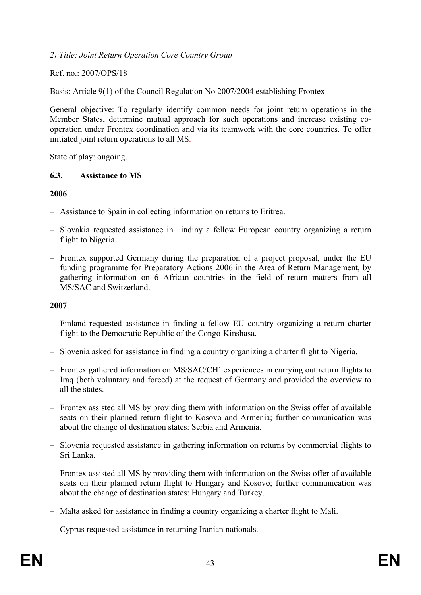*2) Title: Joint Return Operation Core Country Group* 

Ref. no.: 2007/OPS/18

Basis: Article 9(1) of the Council Regulation No 2007/2004 establishing Frontex

General objective: To regularly identify common needs for joint return operations in the Member States, determine mutual approach for such operations and increase existing cooperation under Frontex coordination and via its teamwork with the core countries. To offer initiated joint return operations to all MS.

State of play: ongoing.

#### **6.3. Assistance to MS**

#### **2006**

- Assistance to Spain in collecting information on returns to Eritrea.
- Slovakia requested assistance in \_indiny a fellow European country organizing a return flight to Nigeria.
- Frontex supported Germany during the preparation of a project proposal, under the EU funding programme for Preparatory Actions 2006 in the Area of Return Management, by gathering information on 6 African countries in the field of return matters from all MS/SAC and Switzerland.

#### **2007**

- Finland requested assistance in finding a fellow EU country organizing a return charter flight to the Democratic Republic of the Congo-Kinshasa.
- Slovenia asked for assistance in finding a country organizing a charter flight to Nigeria.
- Frontex gathered information on MS/SAC/CH' experiences in carrying out return flights to Iraq (both voluntary and forced) at the request of Germany and provided the overview to all the states.
- Frontex assisted all MS by providing them with information on the Swiss offer of available seats on their planned return flight to Kosovo and Armenia; further communication was about the change of destination states: Serbia and Armenia.
- Slovenia requested assistance in gathering information on returns by commercial flights to Sri Lanka.
- Frontex assisted all MS by providing them with information on the Swiss offer of available seats on their planned return flight to Hungary and Kosovo; further communication was about the change of destination states: Hungary and Turkey.
- Malta asked for assistance in finding a country organizing a charter flight to Mali.
- Cyprus requested assistance in returning Iranian nationals.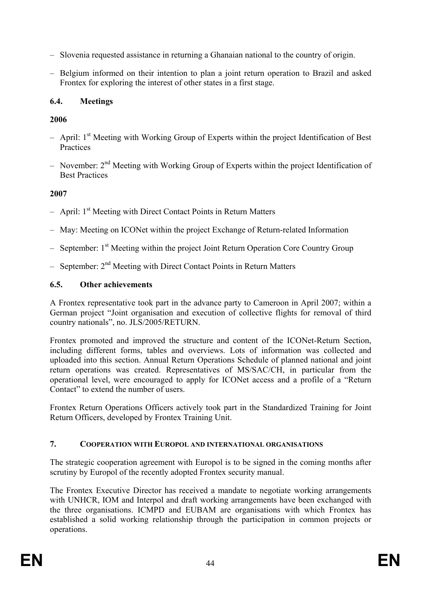- Slovenia requested assistance in returning a Ghanaian national to the country of origin.
- Belgium informed on their intention to plan a joint return operation to Brazil and asked Frontex for exploring the interest of other states in a first stage.

## **6.4. Meetings**

## **2006**

- $-$  April: 1<sup>st</sup> Meeting with Working Group of Experts within the project Identification of Best **Practices**
- November: 2nd Meeting with Working Group of Experts within the project Identification of Best Practices

## **2007**

- $-$  April:  $1<sup>st</sup>$  Meeting with Direct Contact Points in Return Matters
- May: Meeting on ICONet within the project Exchange of Return-related Information
- $-$  September:  $1<sup>st</sup>$  Meeting within the project Joint Return Operation Core Country Group
- $-$  September:  $2<sup>nd</sup> Meeting with Direct Contact Points in Return Matters$

## **6.5. Other achievements**

A Frontex representative took part in the advance party to Cameroon in April 2007; within a German project "Joint organisation and execution of collective flights for removal of third country nationals", no. JLS/2005/RETURN.

Frontex promoted and improved the structure and content of the ICONet-Return Section, including different forms, tables and overviews. Lots of information was collected and uploaded into this section. Annual Return Operations Schedule of planned national and joint return operations was created. Representatives of MS/SAC/CH, in particular from the operational level, were encouraged to apply for ICONet access and a profile of a "Return Contact" to extend the number of users.

Frontex Return Operations Officers actively took part in the Standardized Training for Joint Return Officers, developed by Frontex Training Unit.

#### **7. COOPERATION WITH EUROPOL AND INTERNATIONAL ORGANISATIONS**

The strategic cooperation agreement with Europol is to be signed in the coming months after scrutiny by Europol of the recently adopted Frontex security manual.

The Frontex Executive Director has received a mandate to negotiate working arrangements with UNHCR, IOM and Interpol and draft working arrangements have been exchanged with the three organisations. ICMPD and EUBAM are organisations with which Frontex has established a solid working relationship through the participation in common projects or operations.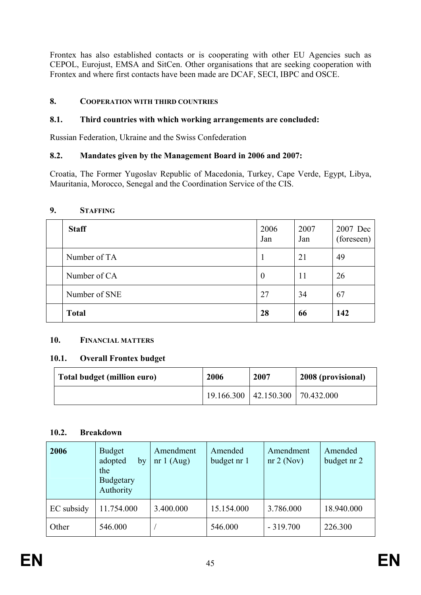Frontex has also established contacts or is cooperating with other EU Agencies such as CEPOL, Eurojust, EMSA and SitCen. Other organisations that are seeking cooperation with Frontex and where first contacts have been made are DCAF, SECI, IBPC and OSCE.

## **8. COOPERATION WITH THIRD COUNTRIES**

#### **8.1. Third countries with which working arrangements are concluded:**

Russian Federation, Ukraine and the Swiss Confederation

## **8.2. Mandates given by the Management Board in 2006 and 2007:**

Croatia, The Former Yugoslav Republic of Macedonia, Turkey, Cape Verde, Egypt, Libya, Mauritania, Morocco, Senegal and the Coordination Service of the CIS.

#### **9. STAFFING**

| <b>Staff</b>  | 2006<br>Jan      | 2007<br>Jan | 2007 Dec<br>(foreseen) |
|---------------|------------------|-------------|------------------------|
| Number of TA  |                  | 21          | 49                     |
| Number of CA  | $\boldsymbol{0}$ | 11          | 26                     |
| Number of SNE | 27               | 34          | 67                     |
| <b>Total</b>  | 28               | 66          | 142                    |

#### **10. FINANCIAL MATTERS**

#### **10.1. Overall Frontex budget**

| Total budget (million euro) | 2006 | 2007                                         | 2008 (provisional) |
|-----------------------------|------|----------------------------------------------|--------------------|
|                             |      | $19.166.300 \mid 42.150.300 \mid 70.432.000$ |                    |

#### **10.2. Breakdown**

| 2006       | <b>Budget</b><br>adopted<br>by<br>the<br><b>Budgetary</b><br>Authority | Amendment<br>nr 1 $(Aug)$ | Amended<br>budget nr 1 | Amendment<br>nr 2 (Nov) | Amended<br>budget nr 2 |
|------------|------------------------------------------------------------------------|---------------------------|------------------------|-------------------------|------------------------|
| EC subsidy | 11.754.000                                                             | 3.400.000                 | 15.154.000             | 3.786.000               | 18.940.000             |
| Other      | 546.000                                                                |                           | 546.000                | $-319.700$              | 226.300                |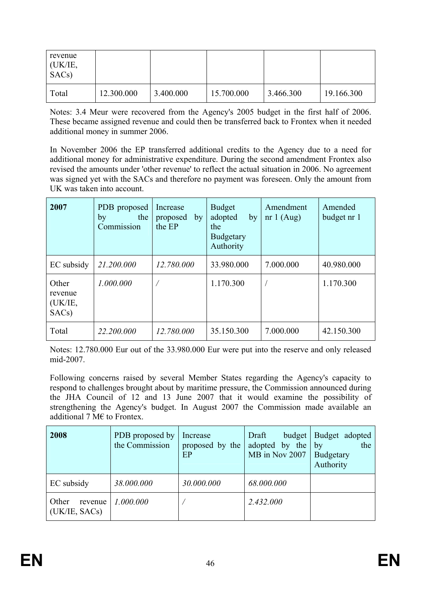| revenue<br>(UK/IE,<br>SAC <sub>s</sub> ) |            |           |            |           |            |
|------------------------------------------|------------|-----------|------------|-----------|------------|
| Total                                    | 12.300.000 | 3.400.000 | 15.700.000 | 3.466.300 | 19.166.300 |

Notes: 3.4 Meur were recovered from the Agency's 2005 budget in the first half of 2006. These became assigned revenue and could then be transferred back to Frontex when it needed additional money in summer 2006.

In November 2006 the EP transferred additional credits to the Agency due to a need for additional money for administrative expenditure. During the second amendment Frontex also revised the amounts under 'other revenue' to reflect the actual situation in 2006. No agreement was signed yet with the SACs and therefore no payment was foreseen. Only the amount from UK was taken into account.

| 2007                                              | PDB proposed<br>the<br>by<br>Commission | Increase<br>proposed<br>by<br>the EP | <b>Budget</b><br>adopted<br>by<br>the<br><b>Budgetary</b><br>Authority | Amendment<br>nr $1(Aug)$ | Amended<br>budget nr 1 |
|---------------------------------------------------|-----------------------------------------|--------------------------------------|------------------------------------------------------------------------|--------------------------|------------------------|
| EC subsidy                                        | 21.200.000                              | 12.780.000                           | 33.980.000                                                             | 7.000.000                | 40.980.000             |
| Other<br>revenue<br>(UK/IE,<br>SAC <sub>s</sub> ) | 1.000.000                               |                                      | 1.170.300                                                              |                          | 1.170.300              |
| Total                                             | 22.200.000                              | 12.780.000                           | 35.150.300                                                             | 7.000.000                | 42.150.300             |

Notes: 12.780.000 Eur out of the 33.980.000 Eur were put into the reserve and only released mid-2007.

Following concerns raised by several Member States regarding the Agency's capacity to respond to challenges brought about by maritime pressure, the Commission announced during the JHA Council of 12 and 13 June 2007 that it would examine the possibility of strengthening the Agency's budget. In August 2007 the Commission made available an additional 7 M $\epsilon$  to Frontex.

| 2008                              | PDB proposed by<br>the Commission | Increase<br>proposed by the<br>EP | Draft<br>budget<br>adopted by the<br>MB in Nov 2007 | Budget adopted<br>the<br>by<br>Budgetary<br>Authority |
|-----------------------------------|-----------------------------------|-----------------------------------|-----------------------------------------------------|-------------------------------------------------------|
| EC subsidy                        | 38.000.000                        | 30.000.000                        | 68.000.000                                          |                                                       |
| Other<br>revenue<br>(UK/IE, SACs) | 1.000.000                         |                                   | 2.432.000                                           |                                                       |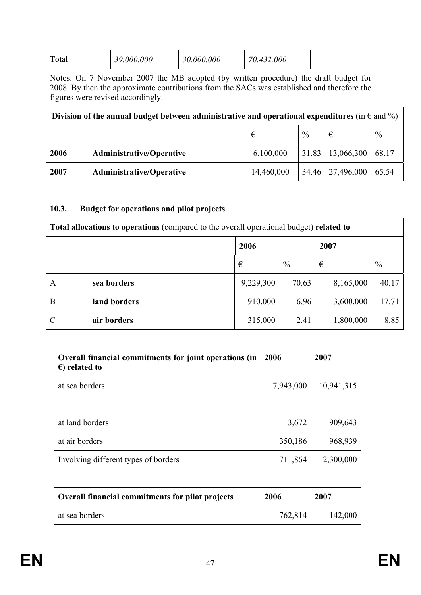| 39.000.000<br>30.000.000<br>432.000<br>Total |  |
|----------------------------------------------|--|
|----------------------------------------------|--|

Notes: On 7 November 2007 the MB adopted (by written procedure) the draft budget for 2008. By then the approximate contributions from the SACs was established and therefore the figures were revised accordingly.

| Division of the annual budget between administrative and operational expenditures (in $\epsilon$ and %) |                                     |            |  |                      |       |  |
|---------------------------------------------------------------------------------------------------------|-------------------------------------|------------|--|----------------------|-------|--|
|                                                                                                         | $\frac{0}{0}$<br>$\frac{0}{0}$<br>€ |            |  |                      |       |  |
| 2006                                                                                                    | <b>Administrative/Operative</b>     | 6,100,000  |  | $31.83$   13,066,300 | 68.17 |  |
| 2007                                                                                                    | <b>Administrative/Operative</b>     | 14,460,000 |  | 34.46   27,496,000   | 65.54 |  |

#### **10.3. Budget for operations and pilot projects**

| Total allocations to operations (compared to the overall operational budget) related to |              |              |               |           |       |
|-----------------------------------------------------------------------------------------|--------------|--------------|---------------|-----------|-------|
|                                                                                         |              | 2006<br>2007 |               |           |       |
|                                                                                         |              | €            | $\frac{0}{0}$ | €         | $\%$  |
| A                                                                                       | sea borders  | 9,229,300    | 70.63         | 8,165,000 | 40.17 |
| B                                                                                       | land borders | 910,000      | 6.96          | 3,600,000 | 17.71 |
|                                                                                         | air borders  | 315,000      | 2.41          | 1,800,000 | 8.85  |

| Overall financial commitments for joint operations (in<br>$\epsilon$ ) related to | 2006      | 2007       |
|-----------------------------------------------------------------------------------|-----------|------------|
| at sea borders                                                                    | 7,943,000 | 10,941,315 |
|                                                                                   |           |            |
| at land borders                                                                   | 3,672     | 909,643    |
| at air borders                                                                    | 350,186   | 968,939    |
| Involving different types of borders                                              | 711,864   | 2,300,000  |

| Overall financial commitments for pilot projects | 2006    | 2007    |
|--------------------------------------------------|---------|---------|
| at sea borders                                   | 762,814 | 142,000 |